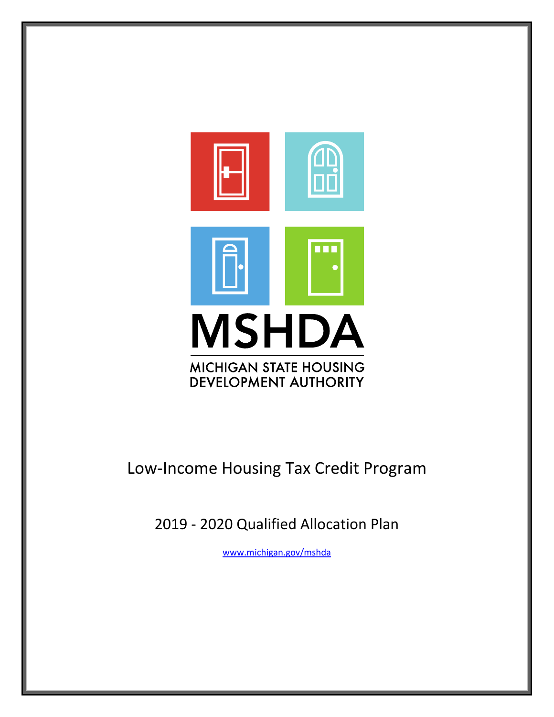

# Low-Income Housing Tax Credit Program

2019 - 2020 Qualified Allocation Plan

[www.michigan.gov/mshda](http://www.michigan.gov/mshda)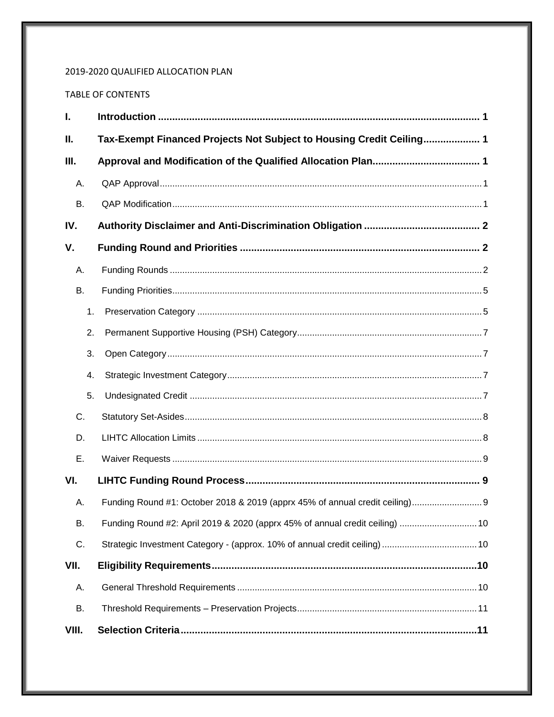# 2019-2020 QUALIFIED ALLOCATION PLAN

# TABLE OF CONTENTS

| $\mathbf{I}$ . |    |                                                                              |
|----------------|----|------------------------------------------------------------------------------|
| Ш.             |    | Tax-Exempt Financed Projects Not Subject to Housing Credit Ceiling 1         |
| Ш.             |    |                                                                              |
| Α.             |    |                                                                              |
| <b>B.</b>      |    |                                                                              |
| IV.            |    |                                                                              |
| V.             |    |                                                                              |
| А.             |    |                                                                              |
| <b>B.</b>      |    |                                                                              |
|                | 1. |                                                                              |
|                | 2. |                                                                              |
|                | 3. |                                                                              |
|                | 4. |                                                                              |
|                | 5. |                                                                              |
| C.             |    |                                                                              |
| D.             |    |                                                                              |
| Ε.             |    |                                                                              |
| VI.            |    |                                                                              |
| А.             |    |                                                                              |
| <b>B.</b>      |    | Funding Round #2: April 2019 & 2020 (apprx 45% of annual credit ceiling)  10 |
| C.             |    |                                                                              |
| VII.           |    |                                                                              |
| Α.             |    |                                                                              |
| В.             |    |                                                                              |
| VIII.          |    |                                                                              |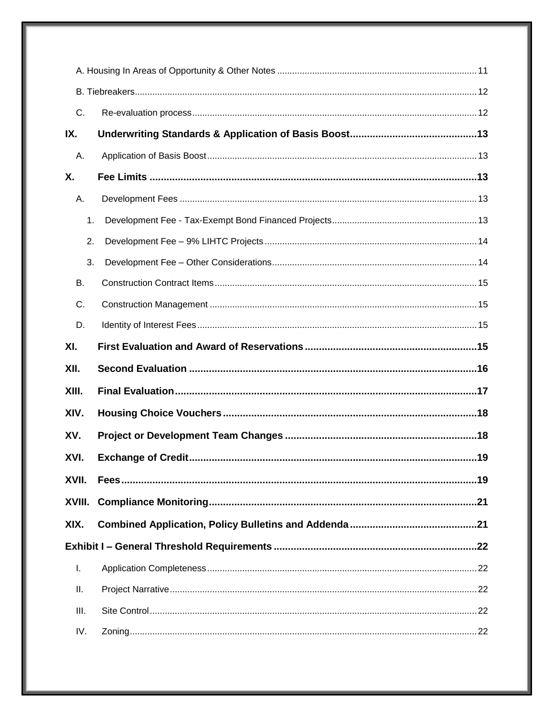| C.     |  |  |  |
|--------|--|--|--|
| IX.    |  |  |  |
| А.     |  |  |  |
| Χ.     |  |  |  |
| А.     |  |  |  |
| 1.     |  |  |  |
| 2.     |  |  |  |
| 3.     |  |  |  |
| В.     |  |  |  |
| C.     |  |  |  |
| D.     |  |  |  |
| XI.    |  |  |  |
| XII.   |  |  |  |
| XIII.  |  |  |  |
| XIV.   |  |  |  |
| XV.    |  |  |  |
| XVI.   |  |  |  |
| XVII.  |  |  |  |
| XVIII. |  |  |  |
| XIX.   |  |  |  |
|        |  |  |  |
| I.     |  |  |  |
| ΙΙ.    |  |  |  |
| III.   |  |  |  |
| IV.    |  |  |  |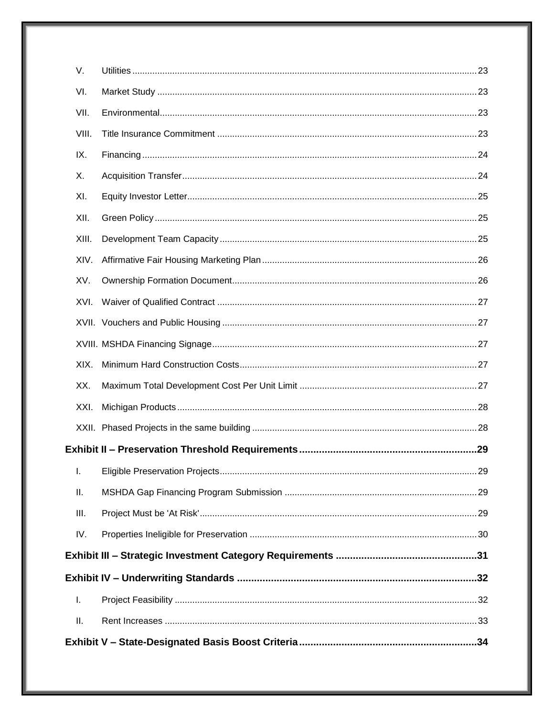| V.    |  |
|-------|--|
| VI.   |  |
| VII.  |  |
| VIII. |  |
| IX.   |  |
| Х.    |  |
| XI.   |  |
| XII.  |  |
| XIII. |  |
| XIV.  |  |
| XV.   |  |
| XVI.  |  |
|       |  |
|       |  |
| XIX.  |  |
| XX.   |  |
| XXI.  |  |
|       |  |
|       |  |
| Ι.    |  |
| Ш.    |  |
| III.  |  |
| IV.   |  |
|       |  |
|       |  |
| Τ.    |  |
| Ш.    |  |
|       |  |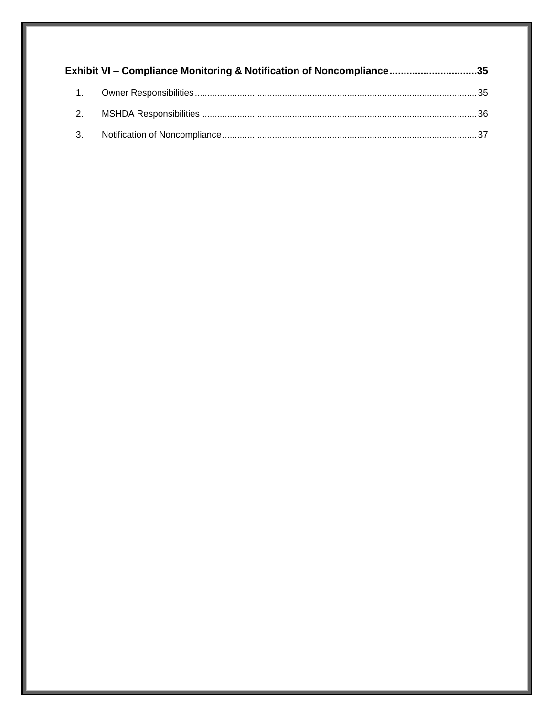|           | Exhibit VI – Compliance Monitoring & Notification of Noncompliance35 |  |
|-----------|----------------------------------------------------------------------|--|
| $\sim$ 1. |                                                                      |  |
| 2.        |                                                                      |  |
| 3.        |                                                                      |  |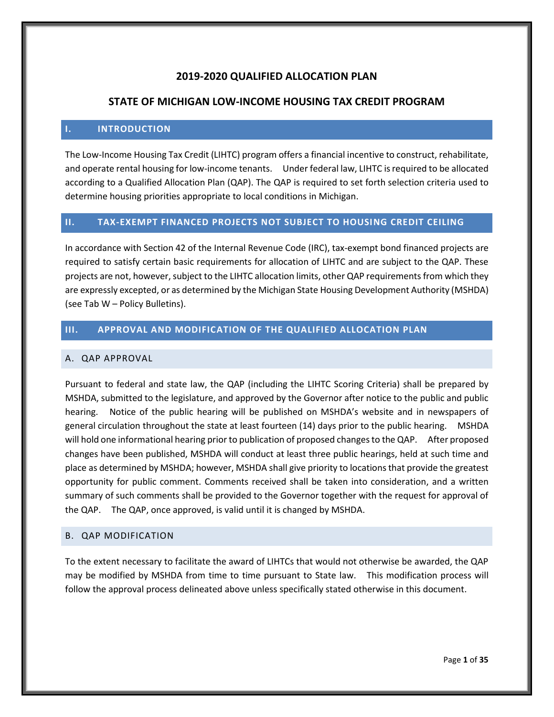# **2019-2020 QUALIFIED ALLOCATION PLAN**

# **STATE OF MICHIGAN LOW-INCOME HOUSING TAX CREDIT PROGRAM**

## <span id="page-5-0"></span>**I. INTRODUCTION**

The Low-Income Housing Tax Credit (LIHTC) program offers a financial incentive to construct, rehabilitate, and operate rental housing for low-income tenants. Under federal law, LIHTC is required to be allocated according to a Qualified Allocation Plan (QAP). The QAP is required to set forth selection criteria used to determine housing priorities appropriate to local conditions in Michigan.

## <span id="page-5-1"></span>**II. TAX-EXEMPT FINANCED PROJECTS NOT SUBJECT TO HOUSING CREDIT CEILING**

In accordance with Section 42 of the Internal Revenue Code (IRC), tax-exempt bond financed projects are required to satisfy certain basic requirements for allocation of LIHTC and are subject to the QAP. These projects are not, however, subject to the LIHTC allocation limits, other QAP requirements from which they are expressly excepted, or as determined by the Michigan State Housing Development Authority (MSHDA) (see Tab W – Policy Bulletins).

# <span id="page-5-2"></span>**III. APPROVAL AND MODIFICATION OF THE QUALIFIED ALLOCATION PLAN**

## <span id="page-5-3"></span>A. QAP APPROVAL

Pursuant to federal and state law, the QAP (including the LIHTC Scoring Criteria) shall be prepared by MSHDA, submitted to the legislature, and approved by the Governor after notice to the public and public hearing. Notice of the public hearing will be published on MSHDA's website and in newspapers of general circulation throughout the state at least fourteen (14) days prior to the public hearing. MSHDA will hold one informational hearing prior to publication of proposed changes to the QAP. After proposed changes have been published, MSHDA will conduct at least three public hearings, held at such time and place as determined by MSHDA; however, MSHDA shall give priority to locations that provide the greatest opportunity for public comment. Comments received shall be taken into consideration, and a written summary of such comments shall be provided to the Governor together with the request for approval of the QAP. The QAP, once approved, is valid until it is changed by MSHDA.

#### <span id="page-5-4"></span>B. QAP MODIFICATION

To the extent necessary to facilitate the award of LIHTCs that would not otherwise be awarded, the QAP may be modified by MSHDA from time to time pursuant to State law. This modification process will follow the approval process delineated above unless specifically stated otherwise in this document.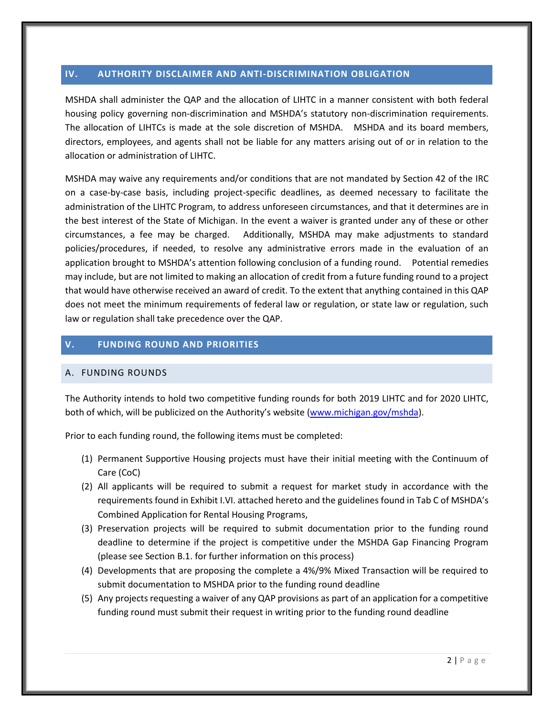## <span id="page-6-0"></span>**IV. AUTHORITY DISCLAIMER AND ANTI-DISCRIMINATION OBLIGATION**

MSHDA shall administer the QAP and the allocation of LIHTC in a manner consistent with both federal housing policy governing non-discrimination and MSHDA's statutory non-discrimination requirements. The allocation of LIHTCs is made at the sole discretion of MSHDA. MSHDA and its board members, directors, employees, and agents shall not be liable for any matters arising out of or in relation to the allocation or administration of LIHTC.

MSHDA may waive any requirements and/or conditions that are not mandated by Section 42 of the IRC on a case-by-case basis, including project-specific deadlines, as deemed necessary to facilitate the administration of the LIHTC Program, to address unforeseen circumstances, and that it determines are in the best interest of the State of Michigan. In the event a waiver is granted under any of these or other circumstances, a fee may be charged. Additionally, MSHDA may make adjustments to standard policies/procedures, if needed, to resolve any administrative errors made in the evaluation of an application brought to MSHDA's attention following conclusion of a funding round. Potential remedies may include, but are not limited to making an allocation of credit from a future funding round to a project that would have otherwise received an award of credit. To the extent that anything contained in this QAP does not meet the minimum requirements of federal law or regulation, or state law or regulation, such law or regulation shall take precedence over the QAP.

# <span id="page-6-1"></span>**V. FUNDING ROUND AND PRIORITIES**

## <span id="page-6-2"></span>A. FUNDING ROUNDS

The Authority intends to hold two competitive funding rounds for both 2019 LIHTC and for 2020 LIHTC, both of which, will be publicized on the Authority's website (www.michigan.gov/mshda).

Prior to each funding round, the following items must be completed:

- (1) Permanent Supportive Housing projects must have their initial meeting with the Continuum of Care (CoC)
- (2) All applicants will be required to submit a request for market study in accordance with the requirements found in Exhibit I.VI. attached hereto and the guidelines found in Tab C of MSHDA's Combined Application for Rental Housing Programs,
- (3) Preservation projects will be required to submit documentation prior to the funding round deadline to determine if the project is competitive under the MSHDA Gap Financing Program (please see Section B.1. for further information on this process)
- (4) Developments that are proposing the complete a 4%/9% Mixed Transaction will be required to submit documentation to MSHDA prior to the funding round deadline
- (5) Any projects requesting a waiver of any QAP provisions as part of an application for a competitive funding round must submit their request in writing prior to the funding round deadline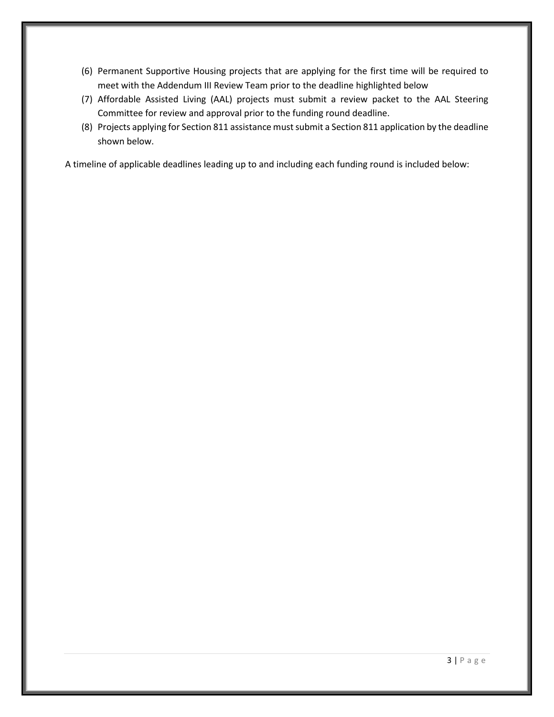- (6) Permanent Supportive Housing projects that are applying for the first time will be required to meet with the Addendum III Review Team prior to the deadline highlighted below
- (7) Affordable Assisted Living (AAL) projects must submit a review packet to the AAL Steering Committee for review and approval prior to the funding round deadline.
- (8) Projects applying for Section 811 assistance must submit a Section 811 application by the deadline shown below.

A timeline of applicable deadlines leading up to and including each funding round is included below: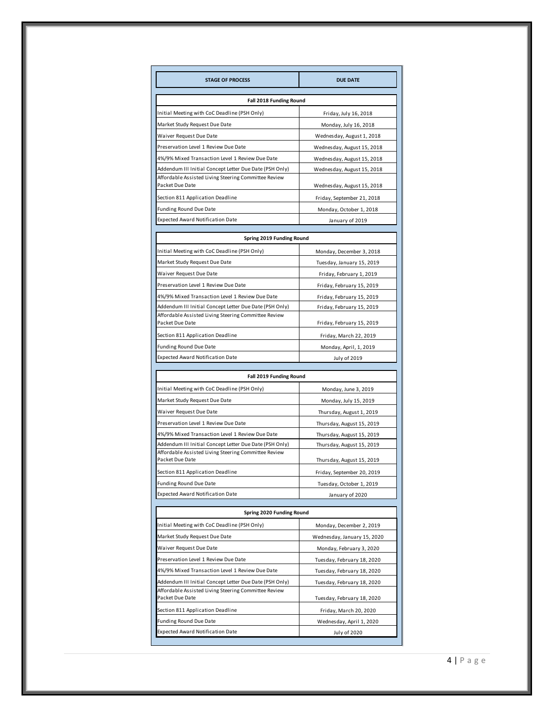| <b>STAGE OF PROCESS</b>                                                                                                            | <b>DUE DATE</b>                                        |
|------------------------------------------------------------------------------------------------------------------------------------|--------------------------------------------------------|
| Fall 2018 Funding Round                                                                                                            |                                                        |
| Initial Meeting with CoC Deadline (PSH Only)                                                                                       | Friday, July 16, 2018                                  |
| Market Study Request Due Date                                                                                                      | Monday, July 16, 2018                                  |
| Waiver Request Due Date                                                                                                            | Wednesday, August 1, 2018                              |
| Preservation Level 1 Review Due Date                                                                                               | Wednesday, August 15, 2018                             |
| 4%/9% Mixed Transaction Level 1 Review Due Date                                                                                    | Wednesday, August 15, 2018                             |
| Addendum III Initial Concept Letter Due Date (PSH Only)                                                                            | Wednesday, August 15, 2018                             |
| Affordable Assisted Living Steering Committee Review<br>Packet Due Date                                                            | Wednesday, August 15, 2018                             |
| Section 811 Application Deadline                                                                                                   | Friday, September 21, 2018                             |
| <b>Funding Round Due Date</b>                                                                                                      | Monday, October 1, 2018                                |
| <b>Expected Award Notification Date</b>                                                                                            | January of 2019                                        |
|                                                                                                                                    |                                                        |
| Spring 2019 Funding Round                                                                                                          |                                                        |
| Initial Meeting with CoC Deadline (PSH Only)                                                                                       | Monday, December 3, 2018                               |
| Market Study Request Due Date                                                                                                      | Tuesday, January 15, 2019                              |
| Waiver Request Due Date<br>Preservation Level 1 Review Due Date                                                                    | Friday, February 1, 2019                               |
|                                                                                                                                    | Friday, February 15, 2019                              |
| 4%/9% Mixed Transaction Level 1 Review Due Date<br>Addendum III Initial Concept Letter Due Date (PSH Only)                         | Friday, February 15, 2019<br>Friday, February 15, 2019 |
| Affordable Assisted Living Steering Committee Review<br>Packet Due Date                                                            | Friday, February 15, 2019                              |
| Section 811 Application Deadline                                                                                                   | Friday, March 22, 2019                                 |
| <b>Funding Round Due Date</b>                                                                                                      | Monday, April, 1, 2019                                 |
| Expected Award Notification Date                                                                                                   | July of 2019                                           |
|                                                                                                                                    |                                                        |
| Fall 2019 Funding Round                                                                                                            |                                                        |
| Initial Meeting with CoC Deadline (PSH Only)                                                                                       | Monday, June 3, 2019                                   |
| Market Study Request Due Date                                                                                                      | Monday, July 15, 2019                                  |
| Waiver Request Due Date                                                                                                            | Thursday, August 1, 2019                               |
| Preservation Level 1 Review Due Date                                                                                               | Thursday, August 15, 2019                              |
| 4%/9% Mixed Transaction Level 1 Review Due Date                                                                                    | Thursday, August 15, 2019                              |
| Addendum III Initial Concept Letter Due Date (PSH Only)<br>Affordable Assisted Living Steering Committee Review<br>Packet Due Date | Thursday, August 15, 2019<br>Thursday, August 15, 2019 |
| Section 811 Application Deadline                                                                                                   |                                                        |
| Funding Round Due Date                                                                                                             | Friday, September 20, 2019                             |
| <b>Expected Award Notification Date</b>                                                                                            | Tuesday, October 1, 2019<br>January of 2020            |
|                                                                                                                                    |                                                        |
| Spring 2020 Funding Round                                                                                                          |                                                        |
| Initial Meeting with CoC Deadline (PSH Only)                                                                                       | Monday, December 2, 2019                               |
| Market Study Request Due Date                                                                                                      | Wednesday, January 15, 2020                            |
| Waiver Request Due Date                                                                                                            | Monday, February 3, 2020                               |
| Preservation Level 1 Review Due Date                                                                                               | Tuesday, February 18, 2020                             |
| 4%/9% Mixed Transaction Level 1 Review Due Date                                                                                    | Tuesday, February 18, 2020                             |
| Addendum III Initial Concept Letter Due Date (PSH Only)                                                                            | Tuesday, February 18, 2020                             |
| Affordable Assisted Living Steering Committee Review<br>Packet Due Date                                                            | Tuesday, February 18, 2020                             |
| Section 811 Application Deadline                                                                                                   | Friday, March 20, 2020                                 |
|                                                                                                                                    |                                                        |
| <b>Funding Round Due Date</b>                                                                                                      | Wednesday, April 1, 2020                               |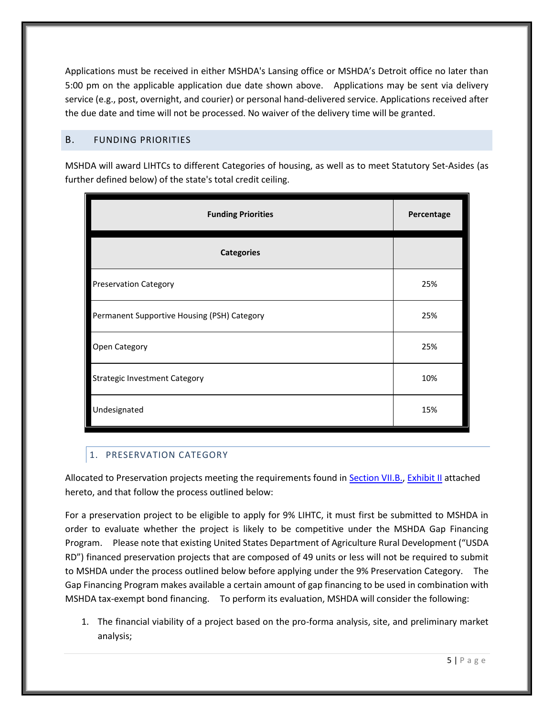Applications must be received in either MSHDA's Lansing office or MSHDA's Detroit office no later than 5:00 pm on the applicable application due date shown above. Applications may be sent via delivery service (e.g., post, overnight, and courier) or personal hand-delivered service. Applications received after the due date and time will not be processed. No waiver of the delivery time will be granted.

# <span id="page-9-0"></span>B. FUNDING PRIORITIES

MSHDA will award LIHTCs to different Categories of housing, as well as to meet Statutory Set-Asides (as further defined below) of the state's total credit ceiling.

| <b>Funding Priorities</b>                   | Percentage |
|---------------------------------------------|------------|
| <b>Categories</b>                           |            |
| <b>Preservation Category</b>                | 25%        |
| Permanent Supportive Housing (PSH) Category | 25%        |
| Open Category                               | 25%        |
| <b>Strategic Investment Category</b>        | 10%        |
| Undesignated                                | 15%        |

# <span id="page-9-1"></span>1. PRESERVATION CATEGORY

Allocated to Preservation projects meeting the requirements found in [Section VII.B.,](#page-15-0) [Exhibit II](#page-32-2) attached hereto, and that follow the process outlined below:

For a preservation project to be eligible to apply for 9% LIHTC, it must first be submitted to MSHDA in order to evaluate whether the project is likely to be competitive under the MSHDA Gap Financing Program. Please note that existing United States Department of Agriculture Rural Development ("USDA RD") financed preservation projects that are composed of 49 units or less will not be required to submit to MSHDA under the process outlined below before applying under the 9% Preservation Category. The Gap Financing Program makes available a certain amount of gap financing to be used in combination with MSHDA tax-exempt bond financing. To perform its evaluation, MSHDA will consider the following:

1. The financial viability of a project based on the pro-forma analysis, site, and preliminary market analysis;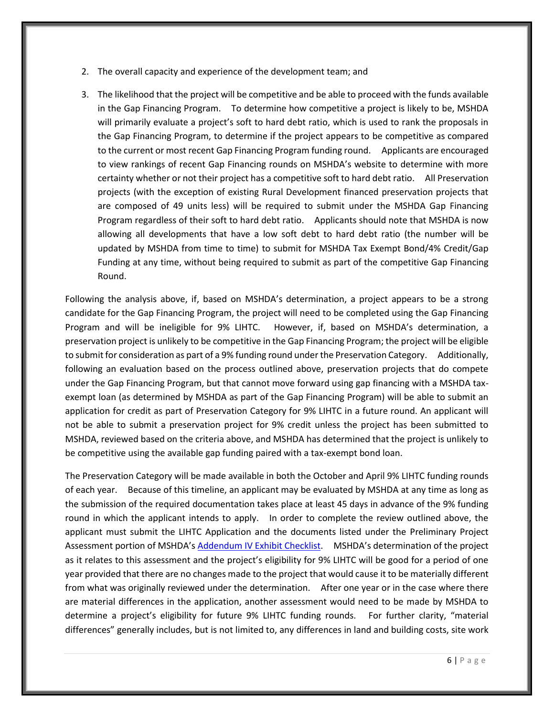- 2. The overall capacity and experience of the development team; and
- 3. The likelihood that the project will be competitive and be able to proceed with the funds available in the Gap Financing Program. To determine how competitive a project is likely to be, MSHDA will primarily evaluate a project's soft to hard debt ratio, which is used to rank the proposals in the Gap Financing Program, to determine if the project appears to be competitive as compared to the current or most recent Gap Financing Program funding round. Applicants are encouraged to view rankings of recent Gap Financing rounds on MSHDA's website to determine with more certainty whether or not their project has a competitive soft to hard debt ratio. All Preservation projects (with the exception of existing Rural Development financed preservation projects that are composed of 49 units less) will be required to submit under the MSHDA Gap Financing Program regardless of their soft to hard debt ratio. Applicants should note that MSHDA is now allowing all developments that have a low soft debt to hard debt ratio (the number will be updated by MSHDA from time to time) to submit for MSHDA Tax Exempt Bond/4% Credit/Gap Funding at any time, without being required to submit as part of the competitive Gap Financing Round.

Following the analysis above, if, based on MSHDA's determination, a project appears to be a strong candidate for the Gap Financing Program, the project will need to be completed using the Gap Financing Program and will be ineligible for 9% LIHTC. However, if, based on MSHDA's determination, a preservation project is unlikely to be competitive in the Gap Financing Program; the project will be eligible to submit for consideration as part of a 9% funding round under the Preservation Category. Additionally, following an evaluation based on the process outlined above, preservation projects that do compete under the Gap Financing Program, but that cannot move forward using gap financing with a MSHDA taxexempt loan (as determined by MSHDA as part of the Gap Financing Program) will be able to submit an application for credit as part of Preservation Category for 9% LIHTC in a future round. An applicant will not be able to submit a preservation project for 9% credit unless the project has been submitted to MSHDA, reviewed based on the criteria above, and MSHDA has determined that the project is unlikely to be competitive using the available gap funding paired with a tax-exempt bond loan.

The Preservation Category will be made available in both the October and April 9% LIHTC funding rounds of each year. Because of this timeline, an applicant may be evaluated by MSHDA at any time as long as the submission of the required documentation takes place at least 45 days in advance of the 9% funding round in which the applicant intends to apply. In order to complete the review outlined above, the applicant must submit the LIHTC Application and the documents listed under the Preliminary Project Assessment portion of MSHDA's [Addendum IV Exhibit Checklist](http://michigan.gov/documents/mshda/MSHDA-Addendum-IV-Exhibit-Checklist-2011-APPROVED_371266_7.pdf). MSHDA's determination of the project as it relates to this assessment and the project's eligibility for 9% LIHTC will be good for a period of one year provided that there are no changes made to the project that would cause it to be materially different from what was originally reviewed under the determination. After one year or in the case where there are material differences in the application, another assessment would need to be made by MSHDA to determine a project's eligibility for future 9% LIHTC funding rounds. For further clarity, "material differences" generally includes, but is not limited to, any differences in land and building costs, site work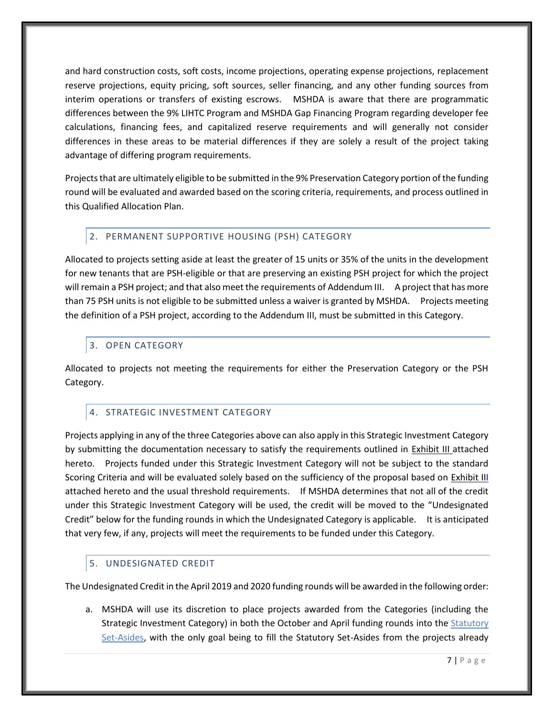and hard construction costs, soft costs, income projections, operating expense projections, replacement reserve projections, equity pricing, soft sources, seller financing, and any other funding sources from interim operations or transfers of existing escrows. MSHDA is aware that there are programmatic differences between the 9% LIHTC Program and MSHDA Gap Financing Program regarding developer fee calculations, financing fees, and capitalized reserve requirements and will generally not consider differences in these areas to be material differences if they are solely a result of the project taking advantage of differing program requirements.

Projects that are ultimately eligible to be submitted in the 9% Preservation Category portion of the funding round will be evaluated and awarded based on the scoring criteria, requirements, and process outlined in this Qualified Allocation Plan.

# <span id="page-11-0"></span>2. PERMANENT SUPPORTIVE HOUSING (PSH) CATEGORY

Allocated to projects setting aside at least the greater of 15 units or 35% of the units in the development for new tenants that are PSH-eligible or that are preserving an existing PSH project for which the project will remain a PSH project; and that also meet the requirements of Addendum III. A project that has more than 75 PSH units is not eligible to be submitted unless a waiver is granted by MSHDA. Projects meeting the definition of a PSH project, according to the Addendum III, must be submitted in this Category.

# <span id="page-11-1"></span>3. OPEN CATEGORY

Allocated to projects not meeting the requirements for either the Preservation Category or the PSH Category.

# <span id="page-11-2"></span>4. STRATEGIC INVESTMENT CATEGORY

Projects applying in any of the three Categories above can also apply in this Strategic Investment Category by submitting the documentation necessary to satisfy the requirements outlined in [Exhibit III](#page-35-0) attached hereto. Projects funded under this Strategic Investment Category will not be subject to the standard Scoring Criteria and will be evaluated solely based on the sufficiency of the proposal based on [Exhibit III](#page-35-0) attached hereto and the usual threshold requirements. If MSHDA determines that not all of the credit under this Strategic Investment Category will be used, the credit will be moved to the "Undesignated Credit" below for the funding rounds in which the Undesignated Category is applicable. It is anticipated that very few, if any, projects will meet the requirements to be funded under this Category.

# <span id="page-11-3"></span>5. UNDESIGNATED CREDIT

The Undesignated Credit in the April 2019 and 2020 funding rounds will be awarded in the following order:

a. MSHDA will use its discretion to place projects awarded from the Categories (including the Strategic Investment Category) in both the October and April funding rounds into the [Statutory](#page-14-2)  [Set-Asides,](#page-14-2) with the only goal being to fill the Statutory Set-Asides from the projects already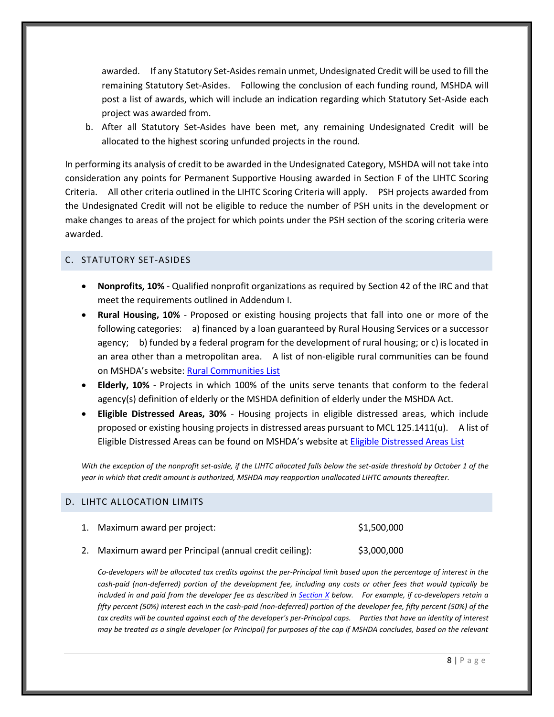awarded. If any Statutory Set-Asides remain unmet, Undesignated Credit will be used to fill the remaining Statutory Set-Asides. Following the conclusion of each funding round, MSHDA will post a list of awards, which will include an indication regarding which Statutory Set-Aside each project was awarded from.

b. After all Statutory Set-Asides have been met, any remaining Undesignated Credit will be allocated to the highest scoring unfunded projects in the round.

In performing its analysis of credit to be awarded in the Undesignated Category, MSHDA will not take into consideration any points for Permanent Supportive Housing awarded in Section F of the LIHTC Scoring Criteria. All other criteria outlined in the LIHTC Scoring Criteria will apply. PSH projects awarded from the Undesignated Credit will not be eligible to reduce the number of PSH units in the development or make changes to areas of the project for which points under the PSH section of the scoring criteria were awarded.

## <span id="page-12-0"></span>C. STATUTORY SET-ASIDES

- **Nonprofits, 10%** Qualified nonprofit organizations as required by Section 42 of the IRC and that meet the requirements outlined in Addendum I.
- **Rural Housing, 10%** Proposed or existing housing projects that fall into one or more of the following categories: a) financed by a loan guaranteed by Rural Housing Services or a successor agency; b) funded by a federal program for the development of rural housing; or c) is located in an area other than a metropolitan area. A list of non-eligible rural communities can be found on MSHDA's website: [Rural Communities List](http://www.michigan.gov/documents/mshda/mshda_li_ca_42_tab_gg_rural_small_comm_list_239066_7.pdf)
- **Elderly, 10%** Projects in which 100% of the units serve tenants that conform to the federal agency(s) definition of elderly or the MSHDA definition of elderly under the MSHDA Act.
- **Eligible Distressed Areas, 30%** Housing projects in eligible distressed areas, which include proposed or existing housing projects in distressed areas pursuant to MCL 125.1411(u). A list of Eligible Distressed Areas can be found on MSHDA's website at [Eligible Distressed Areas List](http://www.michigan.gov/documents/mshda/mshda_li_ca_17_tab_h_elig_dist_areas_183868_7.pdf)

*With the exception of the nonprofit set-aside, if the LIHTC allocated falls below the set-aside threshold by October 1 of the year in which that credit amount is authorized, MSHDA may reapportion unallocated LIHTC amounts thereafter.*

## <span id="page-12-1"></span>D. LIHTC ALLOCATION LIMITS

| 1. Maximum award per project:                           | \$1,500,000 |
|---------------------------------------------------------|-------------|
| 2. Maximum award per Principal (annual credit ceiling): | \$3,000,000 |

*Co-developers will be allocated tax credits against the per-Principal limit based upon the percentage of interest in the cash-paid (non-deferred) portion of the development fee, including any costs or other fees that would typically be included in and paid from the developer fee as described in [Section X](#page-17-2) below. For example, if co-developers retain a fifty percent (50%) interest each in the cash-paid (non-deferred) portion of the developer fee, fifty percent (50%) of the*  tax credits will be counted against each of the developer's per-Principal caps. Parties that have an identity of interest *may be treated as a single developer (or Principal) for purposes of the cap if MSHDA concludes, based on the relevant*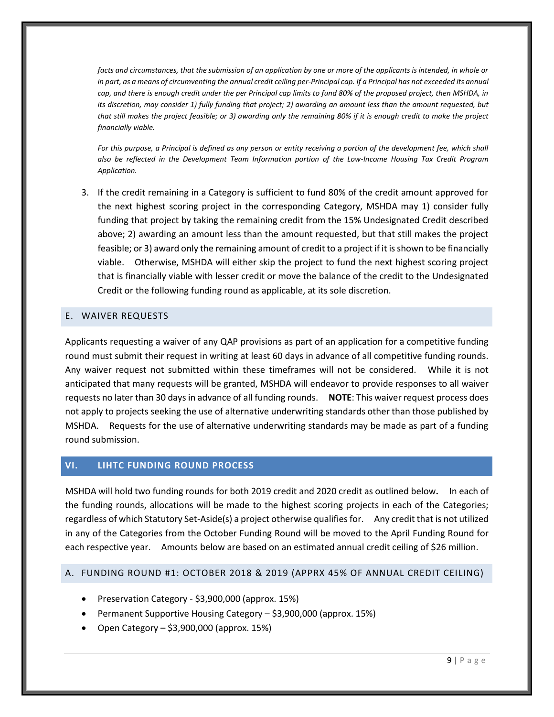*facts and circumstances, that the submission of an application by one or more of the applicants is intended, in whole or in part, as a means of circumventing the annual credit ceiling per-Principal cap. If a Principal has not exceeded its annual cap, and there is enough credit under the per Principal cap limits to fund 80% of the proposed project, then MSHDA, in its discretion, may consider 1) fully funding that project; 2) awarding an amount less than the amount requested, but that still makes the project feasible; or 3) awarding only the remaining 80% if it is enough credit to make the project financially viable.*

For this purpose, a Principal is defined as any person or entity receiving a portion of the development fee, which shall *also be reflected in the Development Team Information portion of the Low-Income Housing Tax Credit Program Application.*

3. If the credit remaining in a Category is sufficient to fund 80% of the credit amount approved for the next highest scoring project in the corresponding Category, MSHDA may 1) consider fully funding that project by taking the remaining credit from the 15% Undesignated Credit described above; 2) awarding an amount less than the amount requested, but that still makes the project feasible; or 3) award only the remaining amount of credit to a project if it is shown to be financially viable. Otherwise, MSHDA will either skip the project to fund the next highest scoring project that is financially viable with lesser credit or move the balance of the credit to the Undesignated Credit or the following funding round as applicable, at its sole discretion.

## <span id="page-13-0"></span>E. WAIVER REQUESTS

Applicants requesting a waiver of any QAP provisions as part of an application for a competitive funding round must submit their request in writing at least 60 days in advance of all competitive funding rounds. Any waiver request not submitted within these timeframes will not be considered. While it is not anticipated that many requests will be granted, MSHDA will endeavor to provide responses to all waiver requests no later than 30 days in advance of all funding rounds. **NOTE**: This waiver request process does not apply to projects seeking the use of alternative underwriting standards other than those published by MSHDA. Requests for the use of alternative underwriting standards may be made as part of a funding round submission.

# <span id="page-13-1"></span>**VI. LIHTC FUNDING ROUND PROCESS**

MSHDA will hold two funding rounds for both 2019 credit and 2020 credit as outlined below**.** In each of the funding rounds, allocations will be made to the highest scoring projects in each of the Categories; regardless of which Statutory Set-Aside(s) a project otherwise qualifies for. Any credit that is not utilized in any of the Categories from the October Funding Round will be moved to the April Funding Round for each respective year. Amounts below are based on an estimated annual credit ceiling of \$26 million.

# <span id="page-13-2"></span>A. FUNDING ROUND #1: OCTOBER 2018 & 2019 (APPRX 45% OF ANNUAL CREDIT CEILING)

- Preservation Category \$3,900,000 (approx. 15%)
- Permanent Supportive Housing Category \$3,900,000 (approx. 15%)
- Open Category \$3,900,000 (approx. 15%)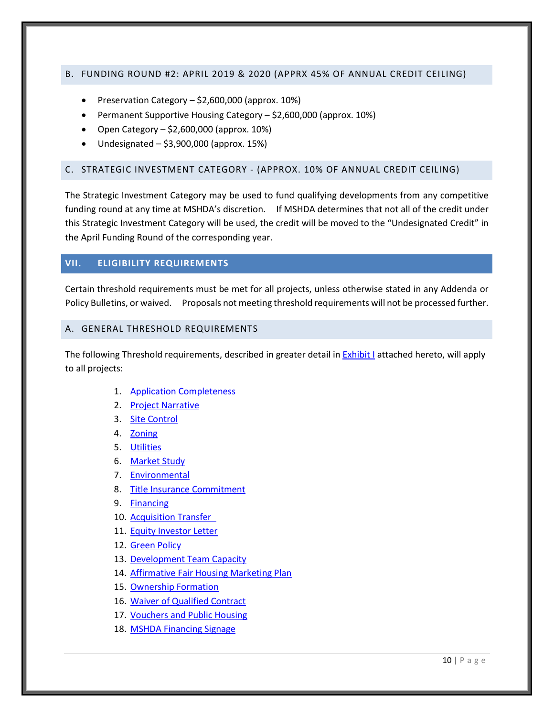## <span id="page-14-0"></span>B. FUNDING ROUND #2: APRIL 2019 & 2020 (APPRX 45% OF ANNUAL CREDIT CEILING)

- Preservation Category \$2,600,000 (approx. 10%)
- Permanent Supportive Housing Category \$2,600,000 (approx. 10%)
- Open Category  $-$  \$2,600,000 (approx. 10%)
- $\bullet$  Undesignated \$3,900,000 (approx. 15%)

## <span id="page-14-1"></span>C. STRATEGIC INVESTMENT CATEGORY - (APPROX. 10% OF ANNUAL CREDIT CEILING)

The Strategic Investment Category may be used to fund qualifying developments from any competitive funding round at any time at MSHDA's discretion. If MSHDA determines that not all of the credit under this Strategic Investment Category will be used, the credit will be moved to the "Undesignated Credit" in the April Funding Round of the corresponding year.

# <span id="page-14-2"></span>**VII. ELIGIBILITY REQUIREMENTS**

Certain threshold requirements must be met for all projects, unless otherwise stated in any Addenda or Policy Bulletins, or waived. Proposals not meeting threshold requirements will not be processed further.

## <span id="page-14-3"></span>A. GENERAL THRESHOLD REQUIREMENTS

The following Threshold requirements, described in greater detail i[n Exhibit I](#page-26-0) attached hereto, will apply to all projects:

- 1. [Application Completeness](#page-26-1)
- 2. [Project Narrative](#page-26-1)
- 3. [Site Control](#page-26-5)
- 4. [Zoning](#page-26-6)
- 5. [Utilities](#page-27-4)
- 6. [Market Study](#page-27-5)
- 7. [Environmental](#page-27-6)
- 8. [Title Insurance Commitment](#page-27-3)
- 9. [Financing](#page-28-2)
- 10. [Acquisition Transfer](#page-28-1)
- 11. [Equity Investor Letter](#page-28-3)
- 12. [Green Policy](#page-29-3)
- 13. [Development Team Capacity](#page-29-2)
- 14. [Affirmative Fair Housing Marketing Plan](#page-30-0)
- 15. [Ownership Formation](#page-30-1)
- 16. [Waiver of Qualified Contract](#page-30-2)
- 17. [Vouchers and Public Housing](#page-31-1)
- 18. [MSHDA Financing Signage](#page-31-2)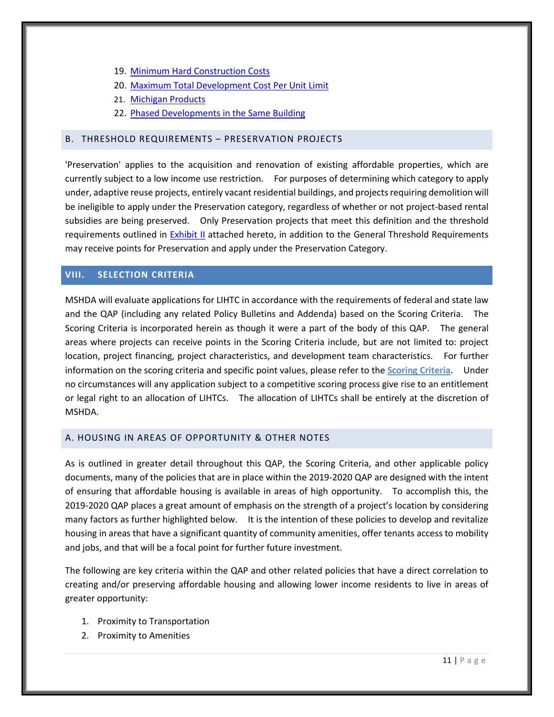- 19. [Minimum Hard Construction Costs](#page-31-3)
- 20. Maximum Total Development Cost Per Unit Limit
- 21. [Michigan Products](#page-32-0)
- 22. [Phased Developments in the Same Building](#page-32-1)

## <span id="page-15-0"></span>B. THRESHOLD REQUIREMENTS – PRESERVATION PROJECTS

'Preservation' applies to the acquisition and renovation of existing affordable properties, which are currently subject to a low income use restriction. For purposes of determining which category to apply under, adaptive reuse projects, entirely vacant residential buildings, and projects requiring demolition will be ineligible to apply under the Preservation category, regardless of whether or not project-based rental subsidies are being preserved. Only Preservation projects that meet this definition and the threshold requirements outlined in [Exhibit II](#page-32-2) attached hereto, in addition to the General Threshold Requirements may receive points for Preservation and apply under the Preservation Category.

# <span id="page-15-1"></span>**VIII. SELECTION CRITERIA**

MSHDA will evaluate applications for LIHTC in accordance with the requirements of federal and state law and the QAP (including any related Policy Bulletins and Addenda) based on the Scoring Criteria. The Scoring Criteria is incorporated herein as though it were a part of the body of this QAP. The general areas where projects can receive points in the Scoring Criteria include, but are not limited to: project location, project financing, project characteristics, and development team characteristics. For further information on the scoring criteria and specific point values, please refer to the **Scoring Criteria**. Under no circumstances will any application subject to a competitive scoring process give rise to an entitlement or legal right to an allocation of LIHTCs. The allocation of LIHTCs shall be entirely at the discretion of MSHDA.

## <span id="page-15-2"></span>A. HOUSING IN AREAS OF OPPORTUNITY & OTHER NOTES

As is outlined in greater detail throughout this QAP, the Scoring Criteria, and other applicable policy documents, many of the policies that are in place within the 2019-2020 QAP are designed with the intent of ensuring that affordable housing is available in areas of high opportunity. To accomplish this, the 2019-2020 QAP places a great amount of emphasis on the strength of a project's location by considering many factors as further highlighted below. It is the intention of these policies to develop and revitalize housing in areas that have a significant quantity of community amenities, offer tenants access to mobility and jobs, and that will be a focal point for further future investment.

The following are key criteria within the QAP and other related policies that have a direct correlation to creating and/or preserving affordable housing and allowing lower income residents to live in areas of greater opportunity:

- 1. Proximity to Transportation
- 2. Proximity to Amenities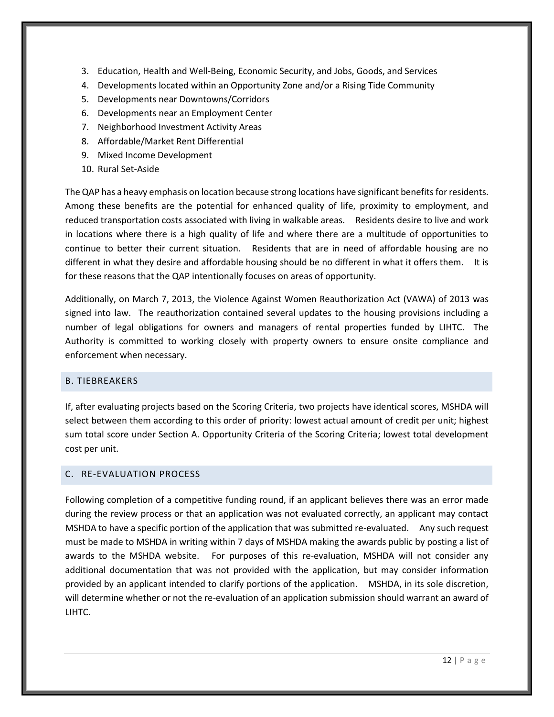- 3. Education, Health and Well-Being, Economic Security, and Jobs, Goods, and Services
- 4. Developments located within an Opportunity Zone and/or a Rising Tide Community
- 5. Developments near Downtowns/Corridors
- 6. Developments near an Employment Center
- 7. Neighborhood Investment Activity Areas
- 8. Affordable/Market Rent Differential
- 9. Mixed Income Development
- 10. Rural Set-Aside

The QAP has a heavy emphasis on location because strong locations have significant benefits for residents. Among these benefits are the potential for enhanced quality of life, proximity to employment, and reduced transportation costs associated with living in walkable areas. Residents desire to live and work in locations where there is a high quality of life and where there are a multitude of opportunities to continue to better their current situation. Residents that are in need of affordable housing are no different in what they desire and affordable housing should be no different in what it offers them. It is for these reasons that the QAP intentionally focuses on areas of opportunity.

Additionally, on March 7, 2013, the Violence Against Women Reauthorization Act (VAWA) of 2013 was signed into law. The reauthorization contained several updates to the housing provisions including a number of legal obligations for owners and managers of rental properties funded by LIHTC. The Authority is committed to working closely with property owners to ensure onsite compliance and enforcement when necessary.

## <span id="page-16-0"></span>B. TIEBREAKERS

If, after evaluating projects based on the Scoring Criteria, two projects have identical scores, MSHDA will select between them according to this order of priority: lowest actual amount of credit per unit; highest sum total score under Section A. Opportunity Criteria of the Scoring Criteria; lowest total development cost per unit.

## <span id="page-16-1"></span>C. RE-EVALUATION PROCESS

Following completion of a competitive funding round, if an applicant believes there was an error made during the review process or that an application was not evaluated correctly, an applicant may contact MSHDA to have a specific portion of the application that was submitted re-evaluated. Any such request must be made to MSHDA in writing within 7 days of MSHDA making the awards public by posting a list of awards to the MSHDA website. For purposes of this re-evaluation, MSHDA will not consider any additional documentation that was not provided with the application, but may consider information provided by an applicant intended to clarify portions of the application. MSHDA, in its sole discretion, will determine whether or not the re-evaluation of an application submission should warrant an award of LIHTC.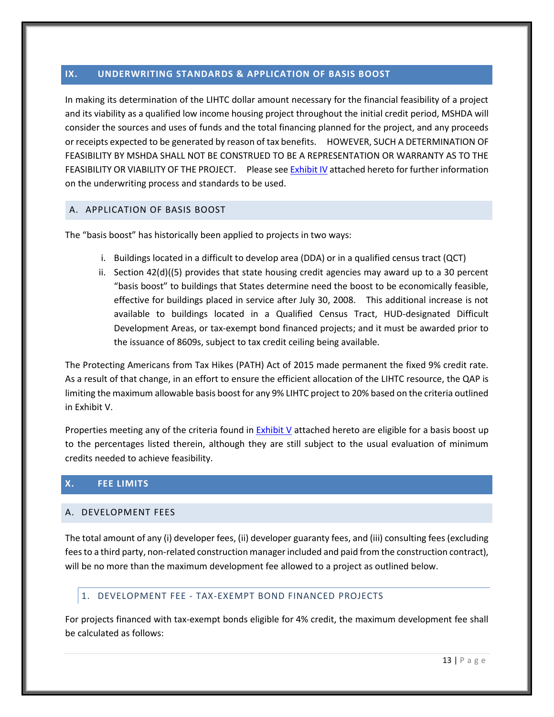# <span id="page-17-0"></span>**IX. UNDERWRITING STANDARDS & APPLICATION OF BASIS BOOST**

In making its determination of the LIHTC dollar amount necessary for the financial feasibility of a project and its viability as a qualified low income housing project throughout the initial credit period, MSHDA will consider the sources and uses of funds and the total financing planned for the project, and any proceeds or receipts expected to be generated by reason of tax benefits. HOWEVER, SUCH A DETERMINATION OF FEASIBILITY BY MSHDA SHALL NOT BE CONSTRUED TO BE A REPRESENTATION OR WARRANTY AS TO THE FEASIBILITY OR VIABILITY OF THE PROJECT. Please se[e Exhibit IV](#page-36-0) attached hereto for further information on the underwriting process and standards to be used.

## <span id="page-17-1"></span>A. APPLICATION OF BASIS BOOST

The "basis boost" has historically been applied to projects in two ways:

- i. Buildings located in a difficult to develop area (DDA) or in a qualified census tract (QCT)
- ii. Section 42(d)((5) provides that state housing credit agencies may award up to a 30 percent "basis boost" to buildings that States determine need the boost to be economically feasible, effective for buildings placed in service after July 30, 2008. This additional increase is not available to buildings located in a Qualified Census Tract, HUD-designated Difficult Development Areas, or tax-exempt bond financed projects; and it must be awarded prior to the issuance of 8609s, subject to tax credit ceiling being available.

The Protecting Americans from Tax Hikes (PATH) Act of 2015 made permanent the fixed 9% credit rate. As a result of that change, in an effort to ensure the efficient allocation of the LIHTC resource, the QAP is limiting the maximum allowable basis boost for any 9% LIHTC project to 20% based on the criteria outlined in Exhibit V.

Properties meeting any of the criteria found in [Exhibit V](#page-38-0) attached hereto are eligible for a basis boost up to the percentages listed therein, although they are still subject to the usual evaluation of minimum credits needed to achieve feasibility.

## <span id="page-17-2"></span>**X. FEE LIMITS**

#### <span id="page-17-3"></span>A. DEVELOPMENT FEES

The total amount of any (i) developer fees, (ii) developer guaranty fees, and (iii) consulting fees (excluding fees to a third party, non-related construction manager included and paid from the construction contract), will be no more than the maximum development fee allowed to a project as outlined below.

## <span id="page-17-4"></span>1. DEVELOPMENT FEE - TAX-EXEMPT BOND FINANCED PROJECTS

For projects financed with tax-exempt bonds eligible for 4% credit, the maximum development fee shall be calculated as follows: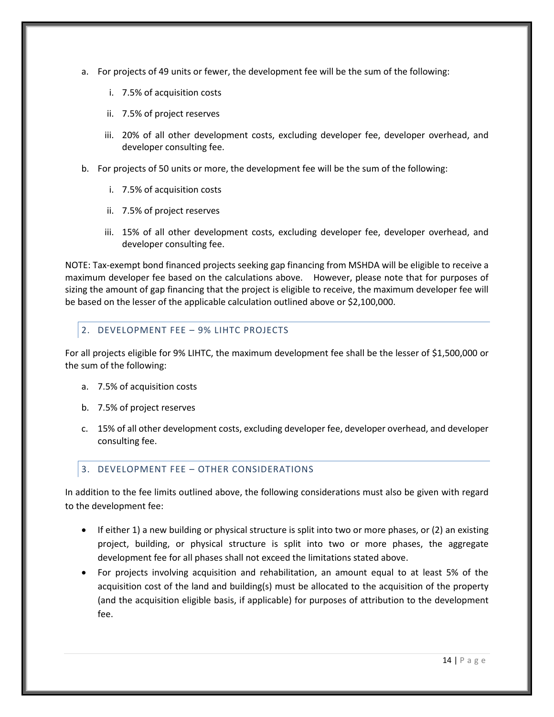- a. For projects of 49 units or fewer, the development fee will be the sum of the following:
	- i. 7.5% of acquisition costs
	- ii. 7.5% of project reserves
	- iii. 20% of all other development costs, excluding developer fee, developer overhead, and developer consulting fee.
- b. For projects of 50 units or more, the development fee will be the sum of the following:
	- i. 7.5% of acquisition costs
	- ii. 7.5% of project reserves
	- iii. 15% of all other development costs, excluding developer fee, developer overhead, and developer consulting fee.

NOTE: Tax-exempt bond financed projects seeking gap financing from MSHDA will be eligible to receive a maximum developer fee based on the calculations above. However, please note that for purposes of sizing the amount of gap financing that the project is eligible to receive, the maximum developer fee will be based on the lesser of the applicable calculation outlined above or \$2,100,000.

# <span id="page-18-0"></span>2. DEVELOPMENT FEE – 9% LIHTC PROJECTS

For all projects eligible for 9% LIHTC, the maximum development fee shall be the lesser of \$1,500,000 or the sum of the following:

- a. 7.5% of acquisition costs
- b. 7.5% of project reserves
- c. 15% of all other development costs, excluding developer fee, developer overhead, and developer consulting fee.

## <span id="page-18-1"></span>3. DEVELOPMENT FEE – OTHER CONSIDERATIONS

In addition to the fee limits outlined above, the following considerations must also be given with regard to the development fee:

- If either 1) a new building or physical structure is split into two or more phases, or (2) an existing project, building, or physical structure is split into two or more phases, the aggregate development fee for all phases shall not exceed the limitations stated above.
- For projects involving acquisition and rehabilitation, an amount equal to at least 5% of the acquisition cost of the land and building(s) must be allocated to the acquisition of the property (and the acquisition eligible basis, if applicable) for purposes of attribution to the development fee.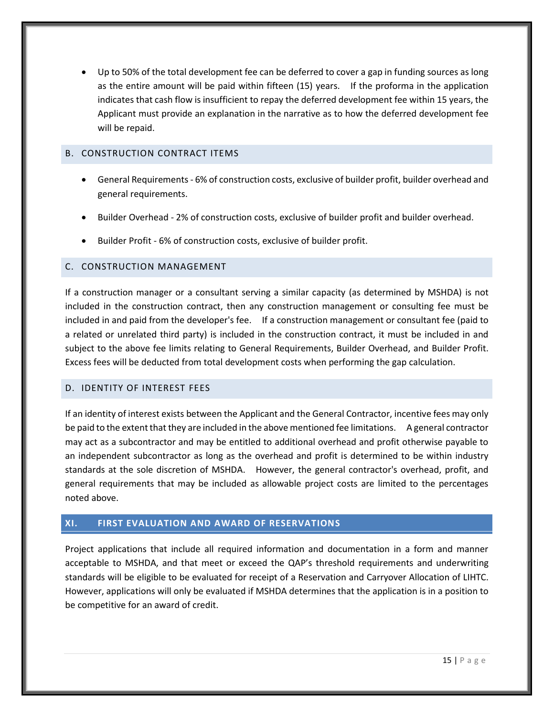Up to 50% of the total development fee can be deferred to cover a gap in funding sources as long as the entire amount will be paid within fifteen (15) years. If the proforma in the application indicates that cash flow is insufficient to repay the deferred development fee within 15 years, the Applicant must provide an explanation in the narrative as to how the deferred development fee will be repaid.

## <span id="page-19-0"></span>B. CONSTRUCTION CONTRACT ITEMS

- General Requirements 6% of construction costs, exclusive of builder profit, builder overhead and general requirements.
- Builder Overhead 2% of construction costs, exclusive of builder profit and builder overhead.
- Builder Profit 6% of construction costs, exclusive of builder profit.

## <span id="page-19-1"></span>C. CONSTRUCTION MANAGEMENT

If a construction manager or a consultant serving a similar capacity (as determined by MSHDA) is not included in the construction contract, then any construction management or consulting fee must be included in and paid from the developer's fee. If a construction management or consultant fee (paid to a related or unrelated third party) is included in the construction contract, it must be included in and subject to the above fee limits relating to General Requirements, Builder Overhead, and Builder Profit. Excess fees will be deducted from total development costs when performing the gap calculation.

# <span id="page-19-2"></span>D. IDENTITY OF INTEREST FEES

If an identity of interest exists between the Applicant and the General Contractor, incentive fees may only be paid to the extent that they are included in the above mentioned fee limitations. A general contractor may act as a subcontractor and may be entitled to additional overhead and profit otherwise payable to an independent subcontractor as long as the overhead and profit is determined to be within industry standards at the sole discretion of MSHDA. However, the general contractor's overhead, profit, and general requirements that may be included as allowable project costs are limited to the percentages noted above.

# <span id="page-19-3"></span>**XI. FIRST EVALUATION AND AWARD OF RESERVATIONS**

Project applications that include all required information and documentation in a form and manner acceptable to MSHDA, and that meet or exceed the QAP's threshold requirements and underwriting standards will be eligible to be evaluated for receipt of a Reservation and Carryover Allocation of LIHTC. However, applications will only be evaluated if MSHDA determines that the application is in a position to be competitive for an award of credit.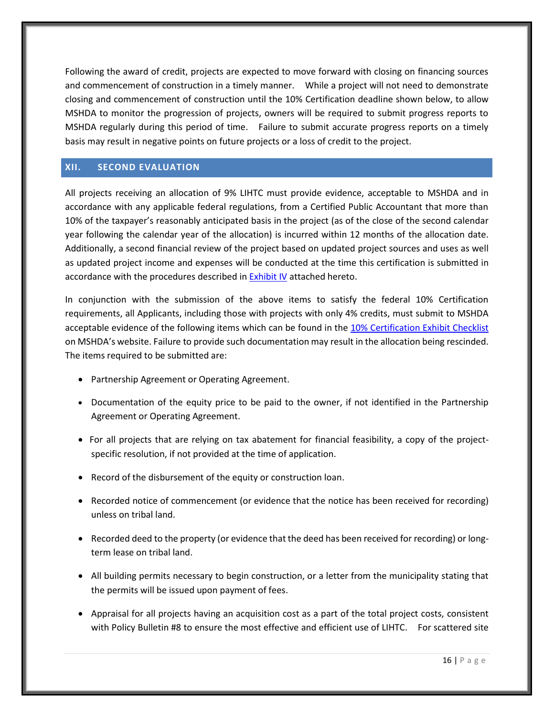Following the award of credit, projects are expected to move forward with closing on financing sources and commencement of construction in a timely manner. While a project will not need to demonstrate closing and commencement of construction until the 10% Certification deadline shown below, to allow MSHDA to monitor the progression of projects, owners will be required to submit progress reports to MSHDA regularly during this period of time. Failure to submit accurate progress reports on a timely basis may result in negative points on future projects or a loss of credit to the project.

## <span id="page-20-0"></span>**XII. SECOND EVALUATION**

All projects receiving an allocation of 9% LIHTC must provide evidence, acceptable to MSHDA and in accordance with any applicable federal regulations, from a Certified Public Accountant that more than 10% of the taxpayer's reasonably anticipated basis in the project (as of the close of the second calendar year following the calendar year of the allocation) is incurred within 12 months of the allocation date. Additionally, a second financial review of the project based on updated project sources and uses as well as updated project income and expenses will be conducted at the time this certification is submitted in accordance with the procedures described i[n Exhibit IV](#page-36-0) attached hereto.

In conjunction with the submission of the above items to satisfy the federal 10% Certification requirements, all Applicants, including those with projects with only 4% credits, must submit to MSHDA acceptable evidence of the following items which can be found in the [10% Certification](http://www.michigan.gov/mshda/0,4641,7-141-5587_5601-134725--,00.html) Exhibit Checklist on MSHDA's website. Failure to provide such documentation may result in the allocation being rescinded. The items required to be submitted are:

- Partnership Agreement or Operating Agreement.
- Documentation of the equity price to be paid to the owner, if not identified in the Partnership Agreement or Operating Agreement.
- For all projects that are relying on tax abatement for financial feasibility, a copy of the projectspecific resolution, if not provided at the time of application.
- Record of the disbursement of the equity or construction loan.
- Recorded notice of commencement (or evidence that the notice has been received for recording) unless on tribal land.
- Recorded deed to the property (or evidence that the deed has been received for recording) or longterm lease on tribal land.
- All building permits necessary to begin construction, or a letter from the municipality stating that the permits will be issued upon payment of fees.
- Appraisal for all projects having an acquisition cost as a part of the total project costs, consistent with Policy Bulletin #8 to ensure the most effective and efficient use of LIHTC. For scattered site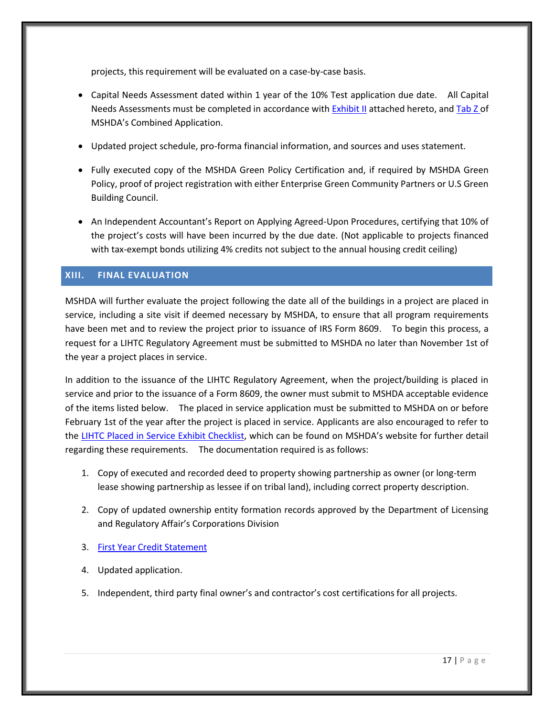projects, this requirement will be evaluated on a case-by-case basis.

- Capital Needs Assessment dated within 1 year of the 10% Test application due date. All Capital Needs Assessments must be completed in accordance with **Exhibit II** attached hereto, an[d Tab Z o](http://www.michigan.gov/documents/mshda/mshda_li_ca_35_tab_z_capital_needs_assess_183891_7.pdf)f MSHDA's Combined Application.
- Updated project schedule, pro-forma financial information, and sources and uses statement.
- Fully executed copy of the MSHDA Green Policy Certification and, if required by MSHDA Green Policy, proof of project registration with either Enterprise Green Community Partners or U.S Green Building Council.
- An Independent Accountant's Report on Applying Agreed-Upon Procedures, certifying that 10% of the project's costs will have been incurred by the due date. (Not applicable to projects financed with tax-exempt bonds utilizing 4% credits not subject to the annual housing credit ceiling)

# <span id="page-21-0"></span>**XIII. FINAL EVALUATION**

MSHDA will further evaluate the project following the date all of the buildings in a project are placed in service, including a site visit if deemed necessary by MSHDA, to ensure that all program requirements have been met and to review the project prior to issuance of IRS Form 8609. To begin this process, a request for a LIHTC Regulatory Agreement must be submitted to MSHDA no later than November 1st of the year a project places in service.

In addition to the issuance of the LIHTC Regulatory Agreement, when the project/building is placed in service and prior to the issuance of a Form 8609, the owner must submit to MSHDA acceptable evidence of the items listed below. The placed in service application must be submitted to MSHDA on or before February 1st of the year after the project is placed in service. Applicants are also encouraged to refer to the [LIHTC Placed in Service Exhibit Checklist](http://www.michigan.gov/mshda/0,4641,7-141-5587_5601-134727--,00.html), which can be found on MSHDA's website for further detail regarding these requirements. The documentation required is as follows:

- 1. Copy of executed and recorded deed to property showing partnership as owner (or long-term lease showing partnership as lessee if on tribal land), including correct property description.
- 2. Copy of updated ownership entity formation records approved by the Department of Licensing and Regulatory Affair's Corporations Division
- 3. [First Year Credit Statement](http://www.michigan.gov/mshda/0,4641,7-141-5587_5601-134727--,00.html)
- 4. Updated application.
- 5. Independent, third party final owner's and contractor's cost certifications for all projects.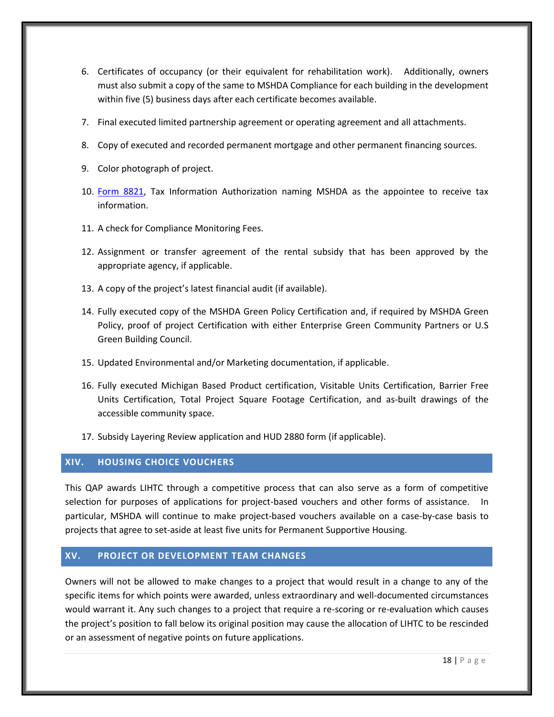- 6. Certificates of occupancy (or their equivalent for rehabilitation work). Additionally, owners must also submit a copy of the same to MSHDA Compliance for each building in the development within five (5) business days after each certificate becomes available.
- 7. Final executed limited partnership agreement or operating agreement and all attachments.
- 8. Copy of executed and recorded permanent mortgage and other permanent financing sources.
- 9. Color photograph of project.
- 10. [Form 8821,](http://www.michigan.gov/documents/mshda/mshda_li_af_q_irs_form_8821_204518_7.pdf) Tax Information Authorization naming MSHDA as the appointee to receive tax information.
- 11. A check for Compliance Monitoring Fees.
- 12. Assignment or transfer agreement of the rental subsidy that has been approved by the appropriate agency, if applicable.
- 13. A copy of the project's latest financial audit (if available).
- 14. Fully executed copy of the MSHDA Green Policy Certification and, if required by MSHDA Green Policy, proof of project Certification with either Enterprise Green Community Partners or U.S Green Building Council.
- 15. Updated Environmental and/or Marketing documentation, if applicable.
- 16. Fully executed Michigan Based Product certification, Visitable Units Certification, Barrier Free Units Certification, Total Project Square Footage Certification, and as-built drawings of the accessible community space.
- 17. Subsidy Layering Review application and HUD 2880 form (if applicable).

# <span id="page-22-0"></span>**XIV. HOUSING CHOICE VOUCHERS**

This QAP awards LIHTC through a competitive process that can also serve as a form of competitive selection for purposes of applications for project-based vouchers and other forms of assistance. In particular, MSHDA will continue to make project-based vouchers available on a case-by-case basis to projects that agree to set-aside at least five units for Permanent Supportive Housing.

# <span id="page-22-1"></span>**XV. PROJECT OR DEVELOPMENT TEAM CHANGES**

Owners will not be allowed to make changes to a project that would result in a change to any of the specific items for which points were awarded, unless extraordinary and well-documented circumstances would warrant it. Any such changes to a project that require a re-scoring or re-evaluation which causes the project's position to fall below its original position may cause the allocation of LIHTC to be rescinded or an assessment of negative points on future applications.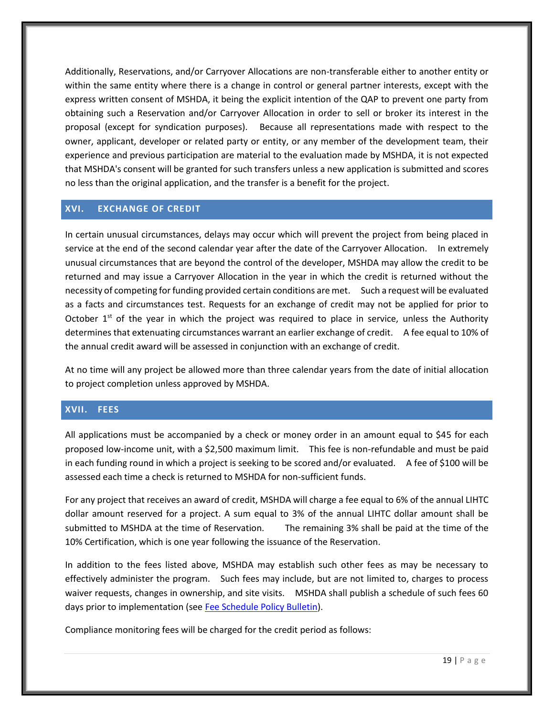Additionally, Reservations, and/or Carryover Allocations are non-transferable either to another entity or within the same entity where there is a change in control or general partner interests, except with the express written consent of MSHDA, it being the explicit intention of the QAP to prevent one party from obtaining such a Reservation and/or Carryover Allocation in order to sell or broker its interest in the proposal (except for syndication purposes). Because all representations made with respect to the owner, applicant, developer or related party or entity, or any member of the development team, their experience and previous participation are material to the evaluation made by MSHDA, it is not expected that MSHDA's consent will be granted for such transfers unless a new application is submitted and scores no less than the original application, and the transfer is a benefit for the project.

# <span id="page-23-0"></span>**XVI. EXCHANGE OF CREDIT**

In certain unusual circumstances, delays may occur which will prevent the project from being placed in service at the end of the second calendar year after the date of the Carryover Allocation. In extremely unusual circumstances that are beyond the control of the developer, MSHDA may allow the credit to be returned and may issue a Carryover Allocation in the year in which the credit is returned without the necessity of competing for funding provided certain conditions are met. Such a request will be evaluated as a facts and circumstances test. Requests for an exchange of credit may not be applied for prior to October  $1<sup>st</sup>$  of the year in which the project was required to place in service, unless the Authority determines that extenuating circumstances warrant an earlier exchange of credit. A fee equal to 10% of the annual credit award will be assessed in conjunction with an exchange of credit.

At no time will any project be allowed more than three calendar years from the date of initial allocation to project completion unless approved by MSHDA.

# <span id="page-23-1"></span>**XVII. FEES**

All applications must be accompanied by a check or money order in an amount equal to \$45 for each proposed low-income unit, with a \$2,500 maximum limit. This fee is non-refundable and must be paid in each funding round in which a project is seeking to be scored and/or evaluated. A fee of \$100 will be assessed each time a check is returned to MSHDA for non-sufficient funds.

For any project that receives an award of credit, MSHDA will charge a fee equal to 6% of the annual LIHTC dollar amount reserved for a project. A sum equal to 3% of the annual LIHTC dollar amount shall be submitted to MSHDA at the time of Reservation. The remaining 3% shall be paid at the time of the 10% Certification, which is one year following the issuance of the Reservation.

In addition to the fees listed above, MSHDA may establish such other fees as may be necessary to effectively administer the program. Such fees may include, but are not limited to, charges to process waiver requests, changes in ownership, and site visits. MSHDA shall publish a schedule of such fees 60 days prior to implementation (se[e Fee Schedule Policy Bulletin\)](http://www.michigan.gov/documents/mshda/mshda_li_ca_32_tab_w_lihtc_policy_bulletins_183888_7.pdf).

Compliance monitoring fees will be charged for the credit period as follows: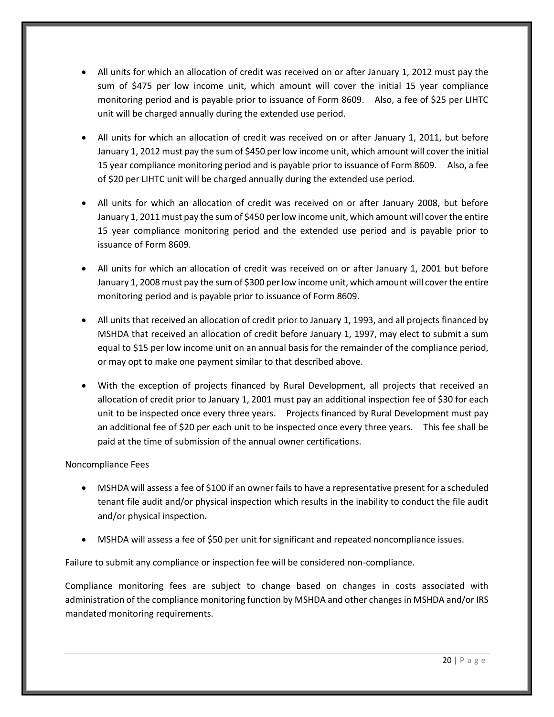- All units for which an allocation of credit was received on or after January 1, 2012 must pay the sum of \$475 per low income unit, which amount will cover the initial 15 year compliance monitoring period and is payable prior to issuance of Form 8609. Also, a fee of \$25 per LIHTC unit will be charged annually during the extended use period.
- All units for which an allocation of credit was received on or after January 1, 2011, but before January 1, 2012 must pay the sum of \$450 per low income unit, which amount will cover the initial 15 year compliance monitoring period and is payable prior to issuance of Form 8609. Also, a fee of \$20 per LIHTC unit will be charged annually during the extended use period.
- All units for which an allocation of credit was received on or after January 2008, but before January 1, 2011 must pay the sum of \$450 per low income unit, which amount will cover the entire 15 year compliance monitoring period and the extended use period and is payable prior to issuance of Form 8609.
- All units for which an allocation of credit was received on or after January 1, 2001 but before January 1, 2008 must pay the sum of \$300 per low income unit, which amount will cover the entire monitoring period and is payable prior to issuance of Form 8609.
- All units that received an allocation of credit prior to January 1, 1993, and all projects financed by MSHDA that received an allocation of credit before January 1, 1997, may elect to submit a sum equal to \$15 per low income unit on an annual basis for the remainder of the compliance period, or may opt to make one payment similar to that described above.
- With the exception of projects financed by Rural Development, all projects that received an allocation of credit prior to January 1, 2001 must pay an additional inspection fee of \$30 for each unit to be inspected once every three years. Projects financed by Rural Development must pay an additional fee of \$20 per each unit to be inspected once every three years. This fee shall be paid at the time of submission of the annual owner certifications.

## Noncompliance Fees

- MSHDA will assess a fee of \$100 if an owner fails to have a representative present for a scheduled tenant file audit and/or physical inspection which results in the inability to conduct the file audit and/or physical inspection.
- MSHDA will assess a fee of \$50 per unit for significant and repeated noncompliance issues.

Failure to submit any compliance or inspection fee will be considered non-compliance.

Compliance monitoring fees are subject to change based on changes in costs associated with administration of the compliance monitoring function by MSHDA and other changes in MSHDA and/or IRS mandated monitoring requirements.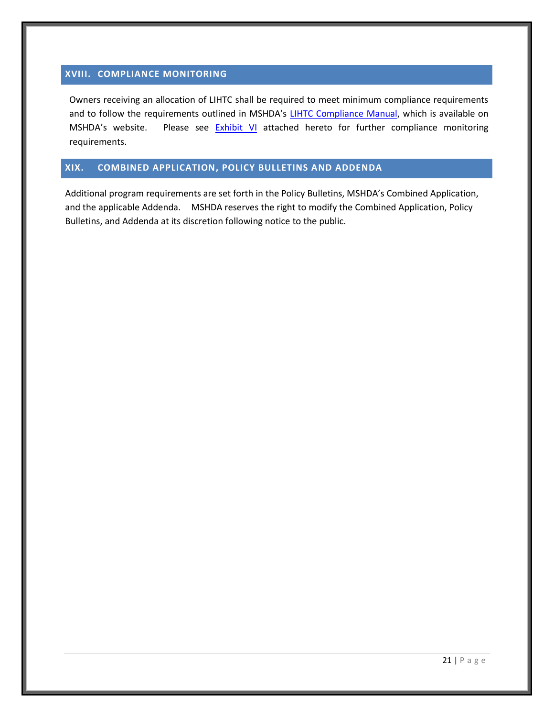# <span id="page-25-0"></span>**XVIII. COMPLIANCE MONITORING**

Owners receiving an allocation of LIHTC shall be required to meet minimum compliance requirements and to follow the requirements outlined in MSHDA's [LIHTC Compliance Manual,](http://www.michigan.gov/mshda/0,4641,7-141-8002_26576_26578---,00.html) which is available on MSHDA's website. Please see **[Exhibit VI](#page-39-0)** attached hereto for further compliance monitoring requirements.

## <span id="page-25-1"></span>**XIX. COMBINED APPLICATION, POLICY BULLETINS AND ADDENDA**

Additional program requirements are set forth in the Policy Bulletins, MSHDA's Combined Application, and the applicable Addenda. MSHDA reserves the right to modify the Combined Application, Policy Bulletins, and Addenda at its discretion following notice to the public.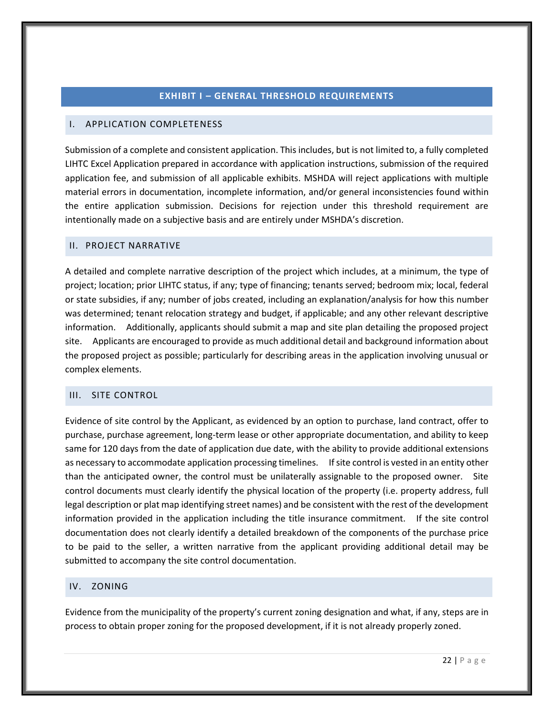## **EXHIBIT I – GENERAL THRESHOLD REQUIREMENTS**

## <span id="page-26-1"></span><span id="page-26-0"></span>I. APPLICATION COMPLETENESS

Submission of a complete and consistent application. This includes, but is not limited to, a fully completed LIHTC Excel Application prepared in accordance with application instructions, submission of the required application fee, and submission of all applicable exhibits. MSHDA will reject applications with multiple material errors in documentation, incomplete information, and/or general inconsistencies found within the entire application submission. Decisions for rejection under this threshold requirement are intentionally made on a subjective basis and are entirely under MSHDA's discretion.

#### <span id="page-26-2"></span>II. PROJECT NARRATIVE

A detailed and complete narrative description of the project which includes, at a minimum, the type of project; location; prior LIHTC status, if any; type of financing; tenants served; bedroom mix; local, federal or state subsidies, if any; number of jobs created, including an explanation/analysis for how this number was determined; tenant relocation strategy and budget, if applicable; and any other relevant descriptive information. Additionally, applicants should submit a map and site plan detailing the proposed project site. Applicants are encouraged to provide as much additional detail and background information about the proposed project as possible; particularly for describing areas in the application involving unusual or complex elements.

## <span id="page-26-5"></span><span id="page-26-3"></span>III. SITE CONTROL

Evidence of site control by the Applicant, as evidenced by an option to purchase, land contract, offer to purchase, purchase agreement, long-term lease or other appropriate documentation, and ability to keep same for 120 days from the date of application due date, with the ability to provide additional extensions as necessary to accommodate application processing timelines. If site control is vested in an entity other than the anticipated owner, the control must be unilaterally assignable to the proposed owner. Site control documents must clearly identify the physical location of the property (i.e. property address, full legal description or plat map identifying street names) and be consistent with the rest of the development information provided in the application including the title insurance commitment. If the site control documentation does not clearly identify a detailed breakdown of the components of the purchase price to be paid to the seller, a written narrative from the applicant providing additional detail may be submitted to accompany the site control documentation.

#### <span id="page-26-6"></span><span id="page-26-4"></span>IV. ZONING

Evidence from the municipality of the property's current zoning designation and what, if any, steps are in process to obtain proper zoning for the proposed development, if it is not already properly zoned.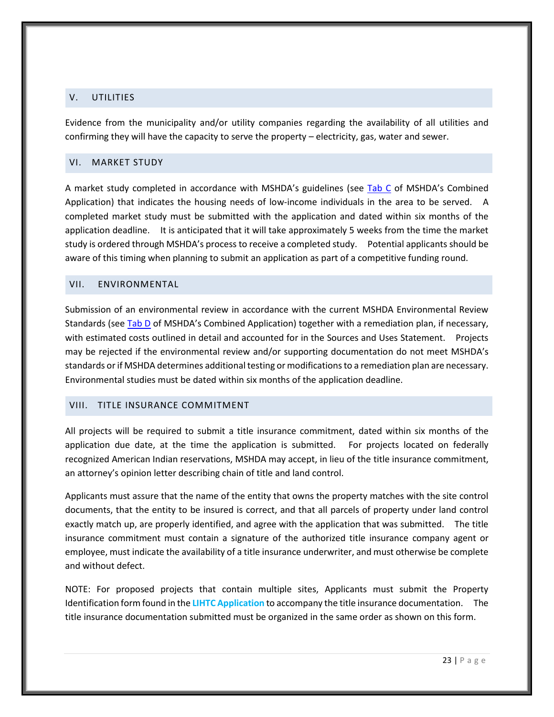## <span id="page-27-4"></span><span id="page-27-0"></span>V. UTILITIES

Evidence from the municipality and/or utility companies regarding the availability of all utilities and confirming they will have the capacity to serve the property – electricity, gas, water and sewer.

## <span id="page-27-5"></span><span id="page-27-1"></span>VI. MARKET STUDY

A market study completed in accordance with MSHDA's guidelines (see [Tab C](http://www.michigan.gov/mshda/0,4641,7-141-5587_5601-60010--,00.html) of MSHDA's Combined Application) that indicates the housing needs of low-income individuals in the area to be served. A completed market study must be submitted with the application and dated within six months of the application deadline. It is anticipated that it will take approximately 5 weeks from the time the market study is ordered through MSHDA's process to receive a completed study. Potential applicants should be aware of this timing when planning to submit an application as part of a competitive funding round.

## <span id="page-27-6"></span><span id="page-27-2"></span>VII. ENVIRONMENTAL

Submission of an environmental review in accordance with the current MSHDA Environmental Review Standards (se[e Tab D](http://www.michigan.gov/mshda/0,4641,7-141-5587_5601-60010--,00.html) of MSHDA's Combined Application) together with a remediation plan, if necessary, with estimated costs outlined in detail and accounted for in the Sources and Uses Statement. Projects may be rejected if the environmental review and/or supporting documentation do not meet MSHDA's standards or if MSHDA determines additional testing or modifications to a remediation plan are necessary. Environmental studies must be dated within six months of the application deadline.

#### <span id="page-27-3"></span>VIII. TITLE INSURANCE COMMITMENT

All projects will be required to submit a title insurance commitment, dated within six months of the application due date, at the time the application is submitted. For projects located on federally recognized American Indian reservations, MSHDA may accept, in lieu of the title insurance commitment, an attorney's opinion letter describing chain of title and land control.

Applicants must assure that the name of the entity that owns the property matches with the site control documents, that the entity to be insured is correct, and that all parcels of property under land control exactly match up, are properly identified, and agree with the application that was submitted. The title insurance commitment must contain a signature of the authorized title insurance company agent or employee, must indicate the availability of a title insurance underwriter, and must otherwise be complete and without defect.

NOTE: For proposed projects that contain multiple sites, Applicants must submit the Property Identification form found in the **LIHTC Application** to accompany the title insurance documentation. The title insurance documentation submitted must be organized in the same order as shown on this form.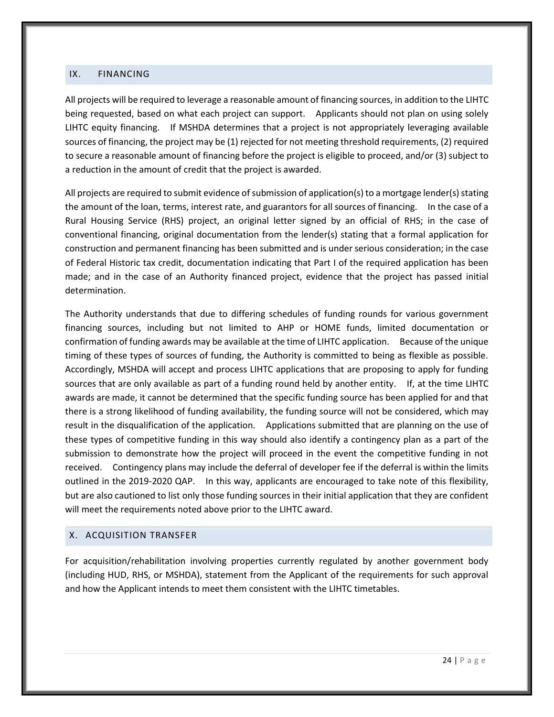## <span id="page-28-2"></span><span id="page-28-0"></span>IX. FINANCING

All projects will be required to leverage a reasonable amount of financing sources, in addition to the LIHTC being requested, based on what each project can support. Applicants should not plan on using solely LIHTC equity financing. If MSHDA determines that a project is not appropriately leveraging available sources of financing, the project may be (1) rejected for not meeting threshold requirements, (2) required to secure a reasonable amount of financing before the project is eligible to proceed, and/or (3) subject to a reduction in the amount of credit that the project is awarded.

All projects are required to submit evidence of submission of application(s) to a mortgage lender(s) stating the amount of the loan, terms, interest rate, and guarantors for all sources of financing. In the case of a Rural Housing Service (RHS) project, an original letter signed by an official of RHS; in the case of conventional financing, original documentation from the lender(s) stating that a formal application for construction and permanent financing has been submitted and is under serious consideration; in the case of Federal Historic tax credit, documentation indicating that Part I of the required application has been made; and in the case of an Authority financed project, evidence that the project has passed initial determination.

The Authority understands that due to differing schedules of funding rounds for various government financing sources, including but not limited to AHP or HOME funds, limited documentation or confirmation of funding awards may be available at the time of LIHTC application. Because of the unique timing of these types of sources of funding, the Authority is committed to being as flexible as possible. Accordingly, MSHDA will accept and process LIHTC applications that are proposing to apply for funding sources that are only available as part of a funding round held by another entity. If, at the time LIHTC awards are made, it cannot be determined that the specific funding source has been applied for and that there is a strong likelihood of funding availability, the funding source will not be considered, which may result in the disqualification of the application. Applications submitted that are planning on the use of these types of competitive funding in this way should also identify a contingency plan as a part of the submission to demonstrate how the project will proceed in the event the competitive funding in not received. Contingency plans may include the deferral of developer fee if the deferral is within the limits outlined in the 2019-2020 QAP. In this way, applicants are encouraged to take note of this flexibility, but are also cautioned to list only those funding sources in their initial application that they are confident will meet the requirements noted above prior to the LIHTC award.

## <span id="page-28-1"></span>X. ACQUISITION TRANSFER

<span id="page-28-3"></span>For acquisition/rehabilitation involving properties currently regulated by another government body (including HUD, RHS, or MSHDA), statement from the Applicant of the requirements for such approval and how the Applicant intends to meet them consistent with the LIHTC timetables.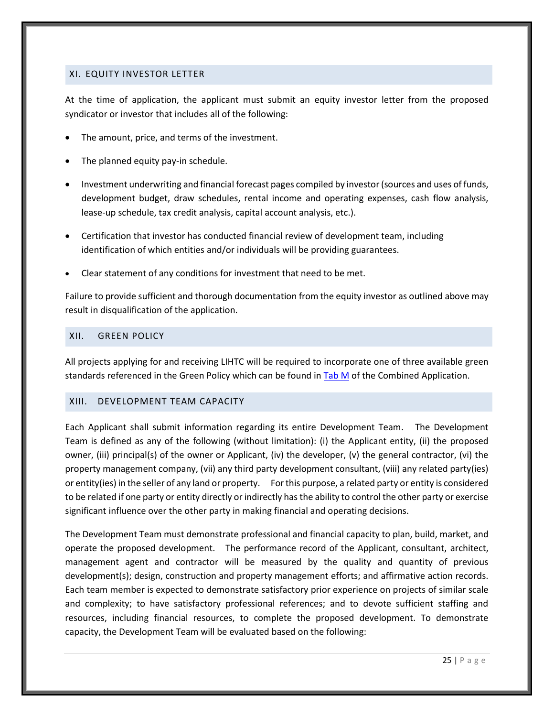## <span id="page-29-0"></span>XI. EQUITY INVESTOR LETTER

At the time of application, the applicant must submit an equity investor letter from the proposed syndicator or investor that includes all of the following:

- The amount, price, and terms of the investment.
- The planned equity pay-in schedule.
- Investment underwriting and financial forecast pages compiled by investor (sources and uses of funds, development budget, draw schedules, rental income and operating expenses, cash flow analysis, lease-up schedule, tax credit analysis, capital account analysis, etc.).
- Certification that investor has conducted financial review of development team, including identification of which entities and/or individuals will be providing guarantees.
- Clear statement of any conditions for investment that need to be met.

Failure to provide sufficient and thorough documentation from the equity investor as outlined above may result in disqualification of the application.

## <span id="page-29-3"></span><span id="page-29-1"></span>XII. GREEN POLICY

All projects applying for and receiving LIHTC will be required to incorporate one of three available green standards referenced in the Green Policy which can be found i[n Tab M](http://www.michigan.gov/mshda/0,4641,7-141-5587_5601-60010--,00.html) of the Combined Application.

## <span id="page-29-2"></span>XIII. DEVELOPMENT TEAM CAPACITY

Each Applicant shall submit information regarding its entire Development Team. The Development Team is defined as any of the following (without limitation): (i) the Applicant entity, (ii) the proposed owner, (iii) principal(s) of the owner or Applicant, (iv) the developer, (v) the general contractor, (vi) the property management company, (vii) any third party development consultant, (viii) any related party(ies) or entity(ies) in the seller of any land or property. For this purpose, a related party or entity is considered to be related if one party or entity directly or indirectly has the ability to control the other party or exercise significant influence over the other party in making financial and operating decisions.

The Development Team must demonstrate professional and financial capacity to plan, build, market, and operate the proposed development. The performance record of the Applicant, consultant, architect, management agent and contractor will be measured by the quality and quantity of previous development(s); design, construction and property management efforts; and affirmative action records. Each team member is expected to demonstrate satisfactory prior experience on projects of similar scale and complexity; to have satisfactory professional references; and to devote sufficient staffing and resources, including financial resources, to complete the proposed development. To demonstrate capacity, the Development Team will be evaluated based on the following: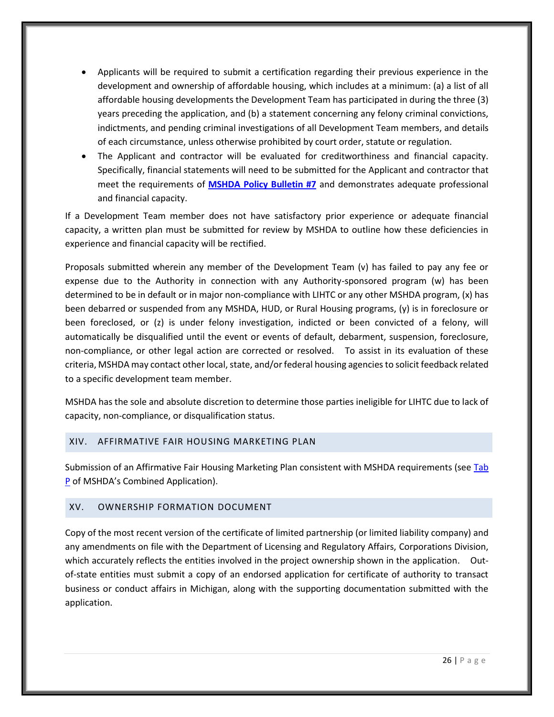- Applicants will be required to submit a certification regarding their previous experience in the development and ownership of affordable housing, which includes at a minimum: (a) a list of all affordable housing developments the Development Team has participated in during the three (3) years preceding the application, and (b) a statement concerning any felony criminal convictions, indictments, and pending criminal investigations of all Development Team members, and details of each circumstance, unless otherwise prohibited by court order, statute or regulation.
- The Applicant and contractor will be evaluated for creditworthiness and financial capacity. Specifically, financial statements will need to be submitted for the Applicant and contractor that meet the requirements of **[MSHDA Policy Bulletin #7](http://www.michigan.gov/documents/mshda/mshda_li_ca_32_tab_w_lihtc_policy_bulletins_183888_7.pdf)** and demonstrates adequate professional and financial capacity.

If a Development Team member does not have satisfactory prior experience or adequate financial capacity, a written plan must be submitted for review by MSHDA to outline how these deficiencies in experience and financial capacity will be rectified.

Proposals submitted wherein any member of the Development Team (v) has failed to pay any fee or expense due to the Authority in connection with any Authority-sponsored program (w) has been determined to be in default or in major non-compliance with LIHTC or any other MSHDA program, (x) has been debarred or suspended from any MSHDA, HUD, or Rural Housing programs, (y) is in foreclosure or been foreclosed, or (z) is under felony investigation, indicted or been convicted of a felony, will automatically be disqualified until the event or events of default, debarment, suspension, foreclosure, non-compliance, or other legal action are corrected or resolved. To assist in its evaluation of these criteria, MSHDA may contact other local, state, and/or federal housing agencies to solicit feedback related to a specific development team member.

MSHDA has the sole and absolute discretion to determine those parties ineligible for LIHTC due to lack of capacity, non-compliance, or disqualification status.

## <span id="page-30-0"></span>XIV. AFFIRMATIVE FAIR HOUSING MARKETING PLAN

Submission of an Affirmative Fair Housing Marketing Plan consistent with MSHDA requirements (see Tab [P](http://www.michigan.gov/mshda/0,4641,7-141-5587_5601-60010--,00.html) of MSHDA's Combined Application).

## <span id="page-30-1"></span>XV. OWNERSHIP FORMATION DOCUMENT

<span id="page-30-2"></span>Copy of the most recent version of the certificate of limited partnership (or limited liability company) and any amendments on file with the Department of Licensing and Regulatory Affairs, Corporations Division, which accurately reflects the entities involved in the project ownership shown in the application. Outof-state entities must submit a copy of an endorsed application for certificate of authority to transact business or conduct affairs in Michigan, along with the supporting documentation submitted with the application.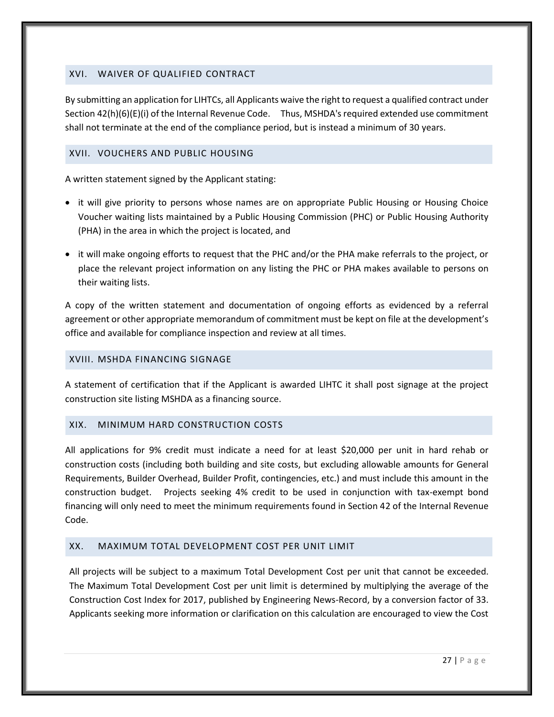# <span id="page-31-0"></span>XVI. WAIVER OF QUALIFIED CONTRACT

By submitting an application for LIHTCs, all Applicants waive the right to request a qualified contract under Section 42(h)(6)(E)(i) of the Internal Revenue Code. Thus, MSHDA's required extended use commitment shall not terminate at the end of the compliance period, but is instead a minimum of 30 years.

## <span id="page-31-1"></span>XVII. VOUCHERS AND PUBLIC HOUSING

A written statement signed by the Applicant stating:

- it will give priority to persons whose names are on appropriate Public Housing or Housing Choice Voucher waiting lists maintained by a Public Housing Commission (PHC) or Public Housing Authority (PHA) in the area in which the project is located, and
- it will make ongoing efforts to request that the PHC and/or the PHA make referrals to the project, or place the relevant project information on any listing the PHC or PHA makes available to persons on their waiting lists.

A copy of the written statement and documentation of ongoing efforts as evidenced by a referral agreement or other appropriate memorandum of commitment must be kept on file at the development's office and available for compliance inspection and review at all times.

## <span id="page-31-2"></span>XVIII. MSHDA FINANCING SIGNAGE

A statement of certification that if the Applicant is awarded LIHTC it shall post signage at the project construction site listing MSHDA as a financing source.

## <span id="page-31-3"></span>XIX. MINIMUM HARD CONSTRUCTION COSTS

All applications for 9% credit must indicate a need for at least \$20,000 per unit in hard rehab or construction costs (including both building and site costs, but excluding allowable amounts for General Requirements, Builder Overhead, Builder Profit, contingencies, etc.) and must include this amount in the construction budget. Projects seeking 4% credit to be used in conjunction with tax-exempt bond financing will only need to meet the minimum requirements found in Section 42 of the Internal Revenue Code.

## <span id="page-31-4"></span>XX. MAXIMUM TOTAL DEVELOPMENT COST PER UNIT LIMIT

All projects will be subject to a maximum Total Development Cost per unit that cannot be exceeded. The Maximum Total Development Cost per unit limit is determined by multiplying the average of the Construction Cost Index for 2017, published by Engineering News-Record, by a conversion factor of 33. Applicants seeking more information or clarification on this calculation are encouraged to view the Cost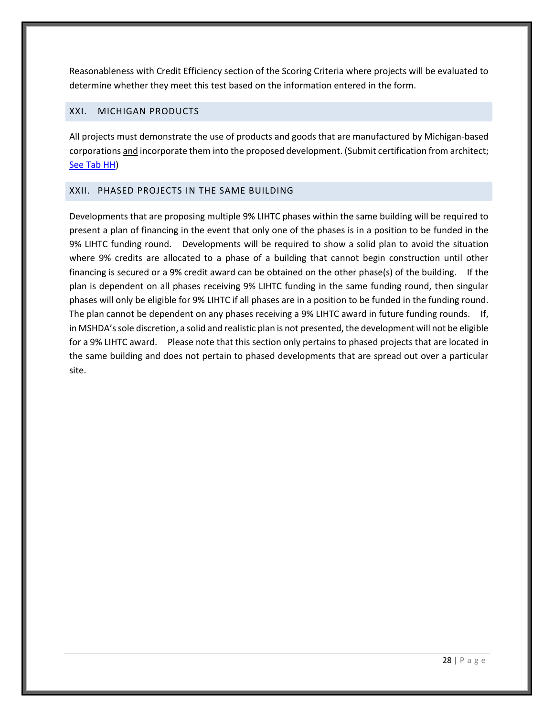Reasonableness with Credit Efficiency section of the Scoring Criteria where projects will be evaluated to determine whether they meet this test based on the information entered in the form.

# <span id="page-32-0"></span>XXI. MICHIGAN PRODUCTS

All projects must demonstrate the use of products and goods that are manufactured by Michigan-based corporations and incorporate them into the proposed development. (Submit certification from architect; [See Tab HH\)](http://www.michigan.gov/mshda/0,4641,7-141-5587_5601-60010--,00.html)

## <span id="page-32-1"></span>XXII. PHASED PROJECTS IN THE SAME BUILDING

<span id="page-32-2"></span>Developments that are proposing multiple 9% LIHTC phases within the same building will be required to present a plan of financing in the event that only one of the phases is in a position to be funded in the 9% LIHTC funding round. Developments will be required to show a solid plan to avoid the situation where 9% credits are allocated to a phase of a building that cannot begin construction until other financing is secured or a 9% credit award can be obtained on the other phase(s) of the building. If the plan is dependent on all phases receiving 9% LIHTC funding in the same funding round, then singular phases will only be eligible for 9% LIHTC if all phases are in a position to be funded in the funding round. The plan cannot be dependent on any phases receiving a 9% LIHTC award in future funding rounds. If, in MSHDA's sole discretion, a solid and realistic plan is not presented, the development will not be eligible for a 9% LIHTC award. Please note that this section only pertains to phased projects that are located in the same building and does not pertain to phased developments that are spread out over a particular site.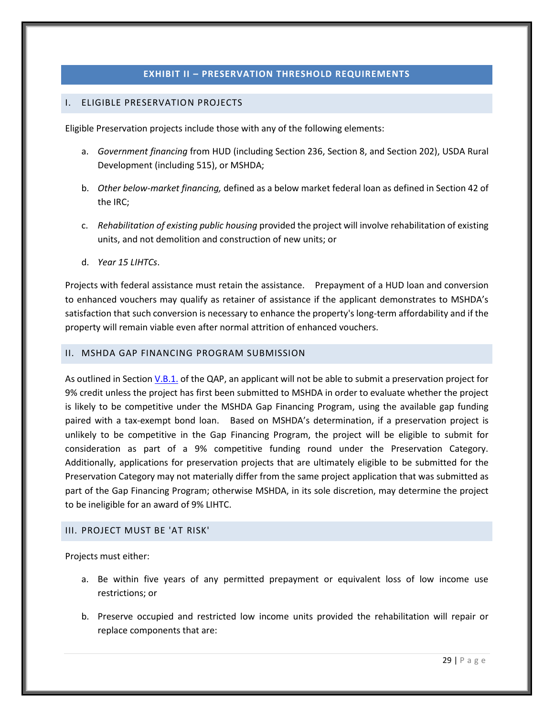## **EXHIBIT II – PRESERVATION THRESHOLD REQUIREMENTS**

## <span id="page-33-1"></span><span id="page-33-0"></span>I. ELIGIBLE PRESERVATION PROJECTS

Eligible Preservation projects include those with any of the following elements:

- a. *Government financing* from HUD (including Section 236, Section 8, and Section 202), USDA Rural Development (including 515), or MSHDA;
- b. *Other below-market financing,* defined as a below market federal loan as defined in Section 42 of the IRC;
- c. *Rehabilitation of existing public housing* provided the project will involve rehabilitation of existing units, and not demolition and construction of new units; or
- d. *Year 15 LIHTCs*.

Projects with federal assistance must retain the assistance. Prepayment of a HUD loan and conversion to enhanced vouchers may qualify as retainer of assistance if the applicant demonstrates to MSHDA's satisfaction that such conversion is necessary to enhance the property's long-term affordability and if the property will remain viable even after normal attrition of enhanced vouchers.

## <span id="page-33-2"></span>II. MSHDA GAP FINANCING PROGRAM SUBMISSION

As outlined in Section [V.B.1.](#page-9-1) of the QAP, an applicant will not be able to submit a preservation project for 9% credit unless the project has first been submitted to MSHDA in order to evaluate whether the project is likely to be competitive under the MSHDA Gap Financing Program, using the available gap funding paired with a tax-exempt bond loan. Based on MSHDA's determination, if a preservation project is unlikely to be competitive in the Gap Financing Program, the project will be eligible to submit for consideration as part of a 9% competitive funding round under the Preservation Category. Additionally, applications for preservation projects that are ultimately eligible to be submitted for the Preservation Category may not materially differ from the same project application that was submitted as part of the Gap Financing Program; otherwise MSHDA, in its sole discretion, may determine the project to be ineligible for an award of 9% LIHTC.

#### <span id="page-33-3"></span>III. PROJECT MUST BE 'AT RISK'

Projects must either:

- a. Be within five years of any permitted prepayment or equivalent loss of low income use restrictions; or
- b. Preserve occupied and restricted low income units provided the rehabilitation will repair or replace components that are: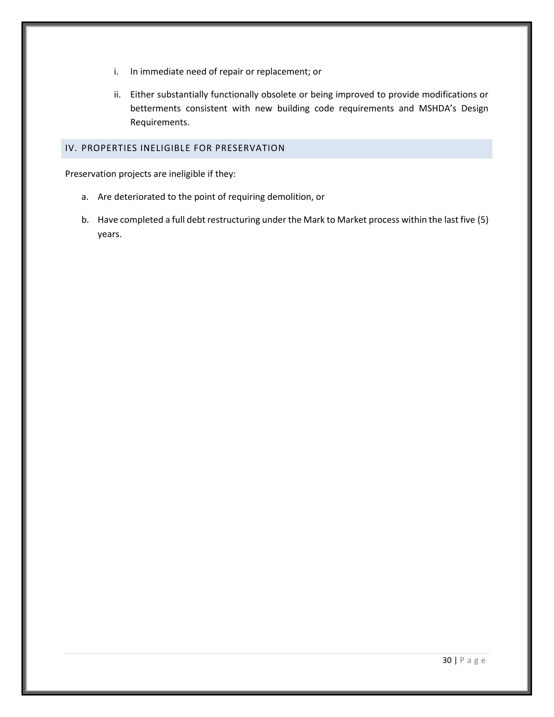- i. In immediate need of repair or replacement; or
- ii. Either substantially functionally obsolete or being improved to provide modifications or betterments consistent with new building code requirements and MSHDA's Design Requirements.

## <span id="page-34-0"></span>IV. PROPERTIES INELIGIBLE FOR PRESERVATION

Preservation projects are ineligible if they:

- a. Are deteriorated to the point of requiring demolition, or
- b. Have completed a full debt restructuring under the Mark to Market process within the last five (5) years.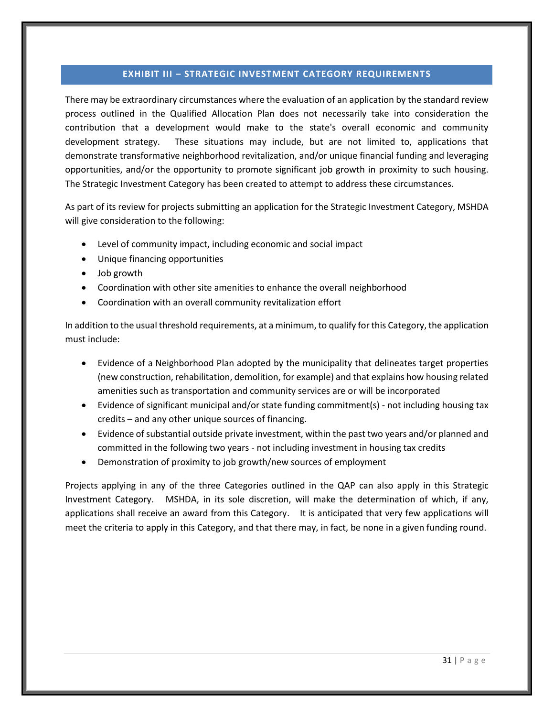## **EXHIBIT III – STRATEGIC INVESTMENT CATEGORY REQUIREMENTS**

<span id="page-35-0"></span>There may be extraordinary circumstances where the evaluation of an application by the standard review process outlined in the Qualified Allocation Plan does not necessarily take into consideration the contribution that a development would make to the state's overall economic and community development strategy. These situations may include, but are not limited to, applications that demonstrate transformative neighborhood revitalization, and/or unique financial funding and leveraging opportunities, and/or the opportunity to promote significant job growth in proximity to such housing. The Strategic Investment Category has been created to attempt to address these circumstances.

As part of its review for projects submitting an application for the Strategic Investment Category, MSHDA will give consideration to the following:

- Level of community impact, including economic and social impact
- Unique financing opportunities
- Job growth
- Coordination with other site amenities to enhance the overall neighborhood
- Coordination with an overall community revitalization effort

In addition to the usual threshold requirements, at a minimum, to qualify for this Category, the application must include:

- Evidence of a Neighborhood Plan adopted by the municipality that delineates target properties (new construction, rehabilitation, demolition, for example) and that explains how housing related amenities such as transportation and community services are or will be incorporated
- Evidence of significant municipal and/or state funding commitment(s) not including housing tax credits – and any other unique sources of financing.
- Evidence of substantial outside private investment, within the past two years and/or planned and committed in the following two years - not including investment in housing tax credits
- Demonstration of proximity to job growth/new sources of employment

Projects applying in any of the three Categories outlined in the QAP can also apply in this Strategic Investment Category. MSHDA, in its sole discretion, will make the determination of which, if any, applications shall receive an award from this Category. It is anticipated that very few applications will meet the criteria to apply in this Category, and that there may, in fact, be none in a given funding round.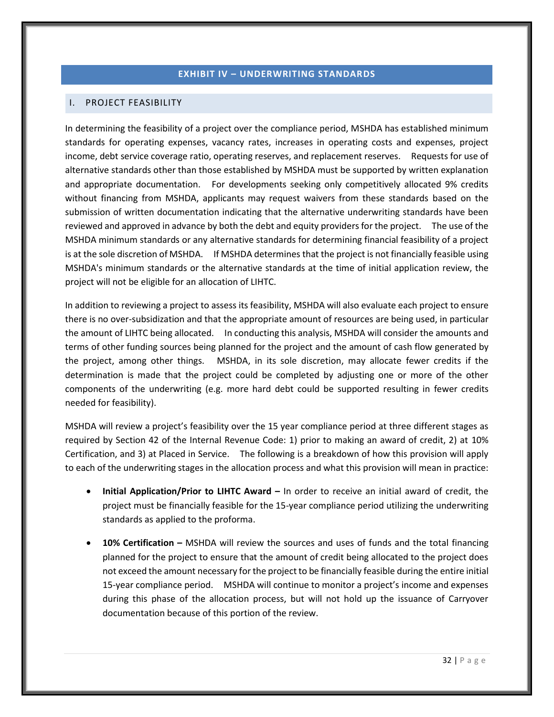# **EXHIBIT IV – UNDERWRITING STANDARDS**

## <span id="page-36-1"></span><span id="page-36-0"></span>I. PROJECT FEASIBILITY

In determining the feasibility of a project over the compliance period, MSHDA has established minimum standards for operating expenses, vacancy rates, increases in operating costs and expenses, project income, debt service coverage ratio, operating reserves, and replacement reserves. Requests for use of alternative standards other than those established by MSHDA must be supported by written explanation and appropriate documentation. For developments seeking only competitively allocated 9% credits without financing from MSHDA, applicants may request waivers from these standards based on the submission of written documentation indicating that the alternative underwriting standards have been reviewed and approved in advance by both the debt and equity providers for the project. The use of the MSHDA minimum standards or any alternative standards for determining financial feasibility of a project is at the sole discretion of MSHDA. If MSHDA determines that the project is not financially feasible using MSHDA's minimum standards or the alternative standards at the time of initial application review, the project will not be eligible for an allocation of LIHTC.

In addition to reviewing a project to assess its feasibility, MSHDA will also evaluate each project to ensure there is no over-subsidization and that the appropriate amount of resources are being used, in particular the amount of LIHTC being allocated. In conducting this analysis, MSHDA will consider the amounts and terms of other funding sources being planned for the project and the amount of cash flow generated by the project, among other things. MSHDA, in its sole discretion, may allocate fewer credits if the determination is made that the project could be completed by adjusting one or more of the other components of the underwriting (e.g. more hard debt could be supported resulting in fewer credits needed for feasibility).

MSHDA will review a project's feasibility over the 15 year compliance period at three different stages as required by Section 42 of the Internal Revenue Code: 1) prior to making an award of credit, 2) at 10% Certification, and 3) at Placed in Service. The following is a breakdown of how this provision will apply to each of the underwriting stages in the allocation process and what this provision will mean in practice:

- **Initial Application/Prior to LIHTC Award –** In order to receive an initial award of credit, the project must be financially feasible for the 15-year compliance period utilizing the underwriting standards as applied to the proforma.
- **10% Certification –** MSHDA will review the sources and uses of funds and the total financing planned for the project to ensure that the amount of credit being allocated to the project does not exceed the amount necessary for the project to be financially feasible during the entire initial 15-year compliance period. MSHDA will continue to monitor a project's income and expenses during this phase of the allocation process, but will not hold up the issuance of Carryover documentation because of this portion of the review.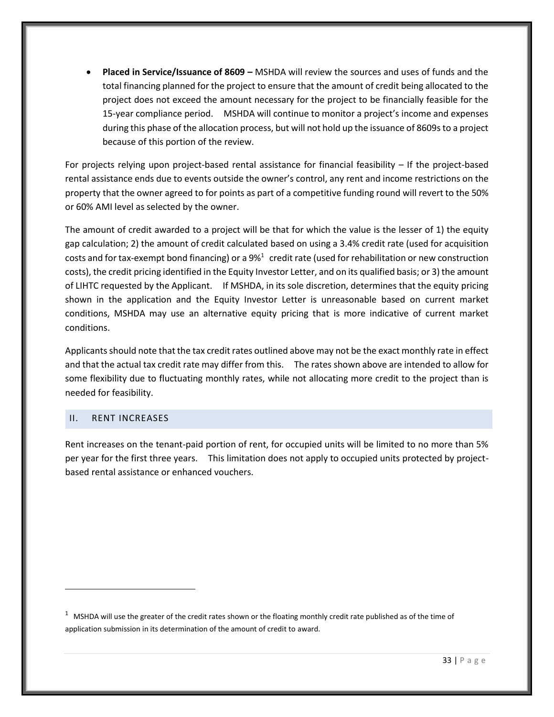**Placed in Service/Issuance of 8609 –** MSHDA will review the sources and uses of funds and the total financing planned for the project to ensure that the amount of credit being allocated to the project does not exceed the amount necessary for the project to be financially feasible for the 15-year compliance period. MSHDA will continue to monitor a project's income and expenses during this phase of the allocation process, but will not hold up the issuance of 8609s to a project because of this portion of the review.

For projects relying upon project-based rental assistance for financial feasibility – If the project-based rental assistance ends due to events outside the owner's control, any rent and income restrictions on the property that the owner agreed to for points as part of a competitive funding round will revert to the 50% or 60% AMI level as selected by the owner.

The amount of credit awarded to a project will be that for which the value is the lesser of 1) the equity gap calculation; 2) the amount of credit calculated based on using a 3.4% credit rate (used for acquisition costs and for tax-exempt bond financing) or a 9%<sup>1</sup> credit rate (used for rehabilitation or new construction costs), the credit pricing identified in the Equity Investor Letter, and on its qualified basis; or 3) the amount of LIHTC requested by the Applicant. If MSHDA, in its sole discretion, determines that the equity pricing shown in the application and the Equity Investor Letter is unreasonable based on current market conditions, MSHDA may use an alternative equity pricing that is more indicative of current market conditions.

Applicants should note that the tax credit rates outlined above may not be the exact monthly rate in effect and that the actual tax credit rate may differ from this. The rates shown above are intended to allow for some flexibility due to fluctuating monthly rates, while not allocating more credit to the project than is needed for feasibility.

## <span id="page-37-0"></span>II. RENT INCREASES

 $\overline{a}$ 

Rent increases on the tenant-paid portion of rent, for occupied units will be limited to no more than 5% per year for the first three years. This limitation does not apply to occupied units protected by projectbased rental assistance or enhanced vouchers.

 $1$  MSHDA will use the greater of the credit rates shown or the floating monthly credit rate published as of the time of application submission in its determination of the amount of credit to award.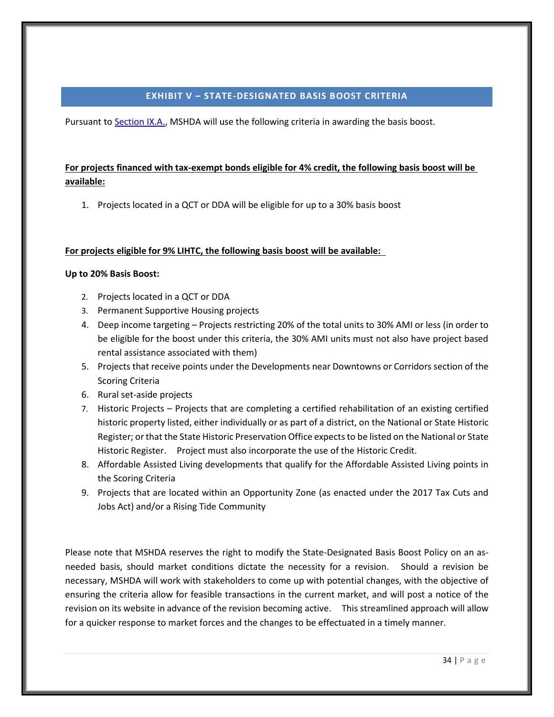## **EXHIBIT V – STATE-DESIGNATED BASIS BOOST CRITERIA**

<span id="page-38-0"></span>Pursuant t[o Section IX.A.,](#page-17-1) MSHDA will use the following criteria in awarding the basis boost.

# **For projects financed with tax-exempt bonds eligible for 4% credit, the following basis boost will be available:**

1. Projects located in a QCT or DDA will be eligible for up to a 30% basis boost

# **For projects eligible for 9% LIHTC, the following basis boost will be available:**

# **Up to 20% Basis Boost:**

- 2. Projects located in a QCT or DDA
- 3. Permanent Supportive Housing projects
- 4. Deep income targeting Projects restricting 20% of the total units to 30% AMI or less (in order to be eligible for the boost under this criteria, the 30% AMI units must not also have project based rental assistance associated with them)
- 5. Projects that receive points under the Developments near Downtowns or Corridors section of the Scoring Criteria
- 6. Rural set-aside projects
- 7. Historic Projects Projects that are completing a certified rehabilitation of an existing certified historic property listed, either individually or as part of a district, on the National or State Historic Register; or that the State Historic Preservation Office expects to be listed on the National or State Historic Register. Project must also incorporate the use of the Historic Credit.
- 8. Affordable Assisted Living developments that qualify for the Affordable Assisted Living points in the Scoring Criteria
- 9. Projects that are located within an Opportunity Zone (as enacted under the 2017 Tax Cuts and Jobs Act) and/or a Rising Tide Community

Please note that MSHDA reserves the right to modify the State-Designated Basis Boost Policy on an asneeded basis, should market conditions dictate the necessity for a revision. Should a revision be necessary, MSHDA will work with stakeholders to come up with potential changes, with the objective of ensuring the criteria allow for feasible transactions in the current market, and will post a notice of the revision on its website in advance of the revision becoming active. This streamlined approach will allow for a quicker response to market forces and the changes to be effectuated in a timely manner.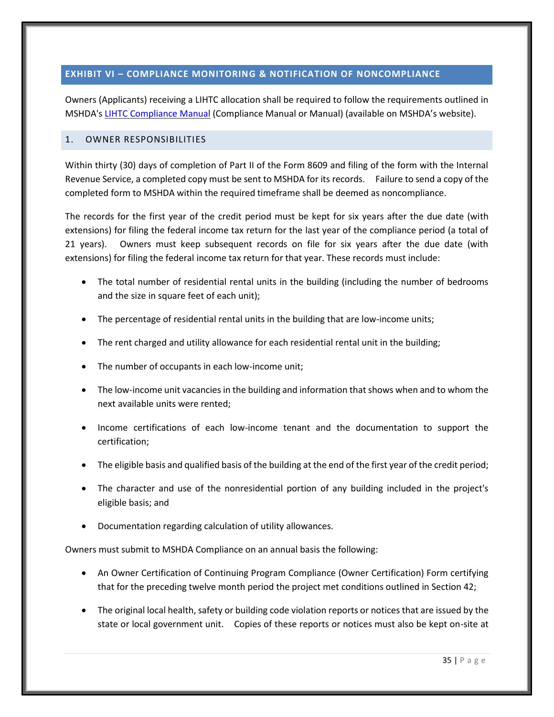# <span id="page-39-0"></span>**EXHIBIT VI – COMPLIANCE MONITORING & NOTIFICATION OF NONCOMPLIANCE**

Owners (Applicants) receiving a LIHTC allocation shall be required to follow the requirements outlined in MSHDA'[s LIHTC Compliance Manual](http://www.michigan.gov/mshda/0,4641,7-141-8002_26576_26578---,00.html) (Compliance Manual or Manual) (available on MSHDA's website).

## <span id="page-39-1"></span>1. OWNER RESPONSIBILITIES

Within thirty (30) days of completion of Part II of the Form 8609 and filing of the form with the Internal Revenue Service, a completed copy must be sent to MSHDA for its records. Failure to send a copy of the completed form to MSHDA within the required timeframe shall be deemed as noncompliance.

The records for the first year of the credit period must be kept for six years after the due date (with extensions) for filing the federal income tax return for the last year of the compliance period (a total of 21 years). Owners must keep subsequent records on file for six years after the due date (with extensions) for filing the federal income tax return for that year. These records must include:

- The total number of residential rental units in the building (including the number of bedrooms and the size in square feet of each unit);
- The percentage of residential rental units in the building that are low-income units;
- The rent charged and utility allowance for each residential rental unit in the building;
- The number of occupants in each low-income unit;
- The low-income unit vacancies in the building and information that shows when and to whom the next available units were rented;
- Income certifications of each low-income tenant and the documentation to support the certification;
- The eligible basis and qualified basis of the building at the end of the first year of the credit period;
- The character and use of the nonresidential portion of any building included in the project's eligible basis; and
- Documentation regarding calculation of utility allowances.

Owners must submit to MSHDA Compliance on an annual basis the following:

- An Owner Certification of Continuing Program Compliance (Owner Certification) Form certifying that for the preceding twelve month period the project met conditions outlined in Section 42;
- The original local health, safety or building code violation reports or notices that are issued by the state or local government unit. Copies of these reports or notices must also be kept on-site at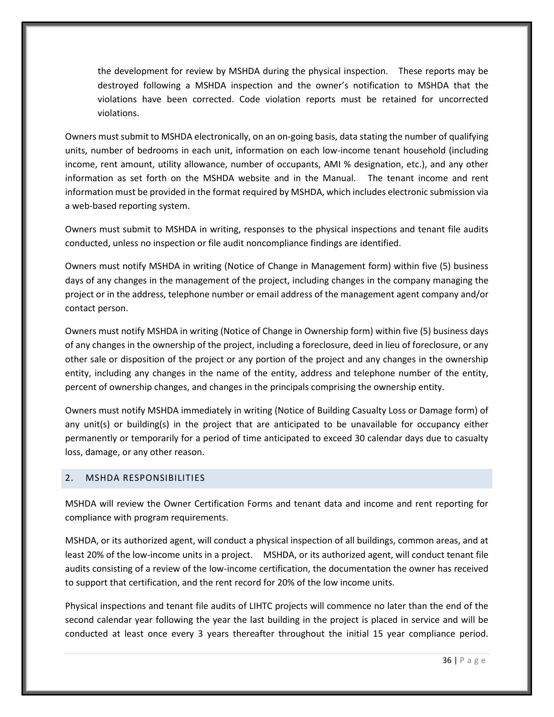the development for review by MSHDA during the physical inspection. These reports may be destroyed following a MSHDA inspection and the owner's notification to MSHDA that the violations have been corrected. Code violation reports must be retained for uncorrected violations.

Owners must submit to MSHDA electronically, on an on-going basis, data stating the number of qualifying units, number of bedrooms in each unit, information on each low-income tenant household (including income, rent amount, utility allowance, number of occupants, AMI % designation, etc.), and any other information as set forth on the MSHDA website and in the Manual. The tenant income and rent information must be provided in the format required by MSHDA, which includes electronic submission via a web-based reporting system.

Owners must submit to MSHDA in writing, responses to the physical inspections and tenant file audits conducted, unless no inspection or file audit noncompliance findings are identified.

Owners must notify MSHDA in writing (Notice of Change in Management form) within five (5) business days of any changes in the management of the project, including changes in the company managing the project or in the address, telephone number or email address of the management agent company and/or contact person.

Owners must notify MSHDA in writing (Notice of Change in Ownership form) within five (5) business days of any changes in the ownership of the project, including a foreclosure, deed in lieu of foreclosure, or any other sale or disposition of the project or any portion of the project and any changes in the ownership entity, including any changes in the name of the entity, address and telephone number of the entity, percent of ownership changes, and changes in the principals comprising the ownership entity.

Owners must notify MSHDA immediately in writing (Notice of Building Casualty Loss or Damage form) of any unit(s) or building(s) in the project that are anticipated to be unavailable for occupancy either permanently or temporarily for a period of time anticipated to exceed 30 calendar days due to casualty loss, damage, or any other reason.

## <span id="page-40-0"></span>2. MSHDA RESPONSIBILITIES

MSHDA will review the Owner Certification Forms and tenant data and income and rent reporting for compliance with program requirements.

MSHDA, or its authorized agent, will conduct a physical inspection of all buildings, common areas, and at least 20% of the low-income units in a project. MSHDA, or its authorized agent, will conduct tenant file audits consisting of a review of the low-income certification, the documentation the owner has received to support that certification, and the rent record for 20% of the low income units.

Physical inspections and tenant file audits of LIHTC projects will commence no later than the end of the second calendar year following the year the last building in the project is placed in service and will be conducted at least once every 3 years thereafter throughout the initial 15 year compliance period.